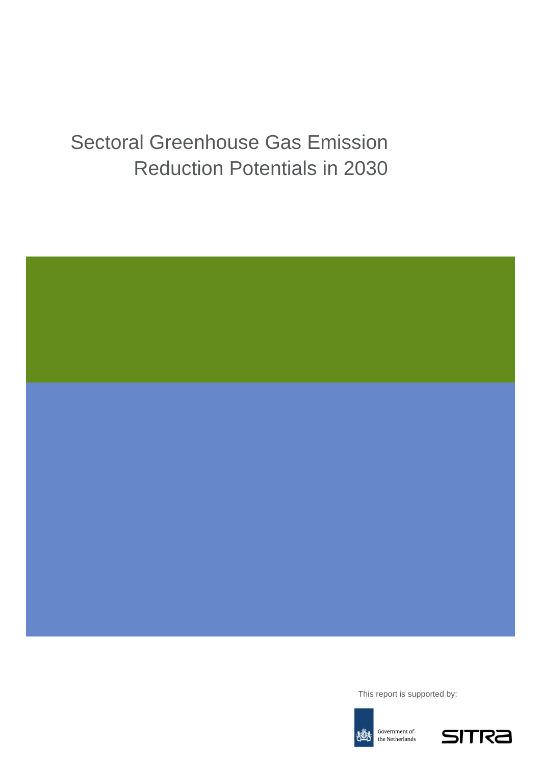# Sectoral Greenhouse Gas Emission Reduction Potentials in 2030



This report is supported by:



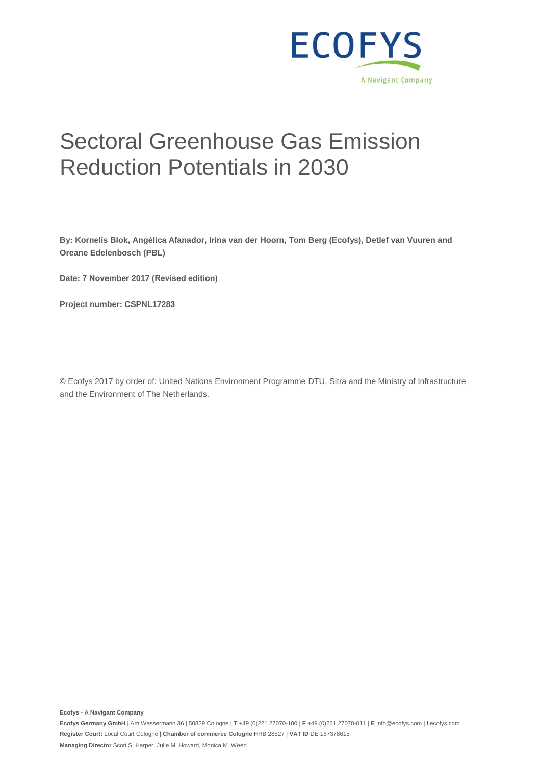

# Sectoral Greenhouse Gas Emission Reduction Potentials in 2030

**By: Kornelis Blok, Angélica Afanador, Irina van der Hoorn, Tom Berg (Ecofys), Detlef van Vuuren and Oreane Edelenbosch (PBL)** 

**Date: 7 November 2017 (Revised edition)**

**Project number: CSPNL17283** 

© Ecofys 2017 by order of: United Nations Environment Programme DTU, Sitra and the Ministry of Infrastructure and the Environment of The Netherlands.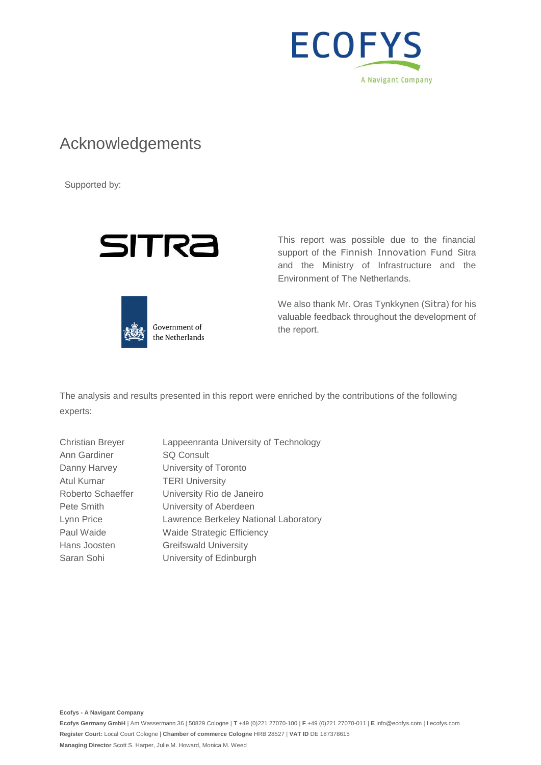

### Acknowledgements

Supported by:





support of the Finnish Innovation Fund Sitra and the Ministry of Infrastructure and the Environment of The Netherlands.

This report was possible due to the financial

We also thank Mr. Oras Tynkkynen (Sitra) for his valuable feedback throughout the development of the report.

The analysis and results presented in this report were enriched by the contributions of the following experts:

| <b>Christian Breyer</b> | Lappeenranta University of Technology |
|-------------------------|---------------------------------------|
| Ann Gardiner            | <b>SQ Consult</b>                     |
| Danny Harvey            | University of Toronto                 |
| Atul Kumar              | <b>TERI University</b>                |
| Roberto Schaeffer       | University Rio de Janeiro             |
| Pete Smith              | University of Aberdeen                |
| Lynn Price              | Lawrence Berkeley National Laboratory |
| Paul Waide              | <b>Waide Strategic Efficiency</b>     |
| Hans Joosten            | <b>Greifswald University</b>          |
| Saran Sohi              | University of Edinburgh               |
|                         |                                       |

**Ecofys - A Navigant Company**

**Ecofys Germany GmbH** | Am Wassermann 36 | 50829 Cologne | **T** +49 (0)221 27070-100 | **F** +49 (0)221 27070-011 | **E** info@ecofys.com | **I** ecofys.com **Register Court:** Local Court Cologne | **Chamber of commerce Cologne** HRB 28527 | **VAT ID** DE 187378615 **Managing Director** Scott S. Harper, Julie M. Howard, Monica M. Weed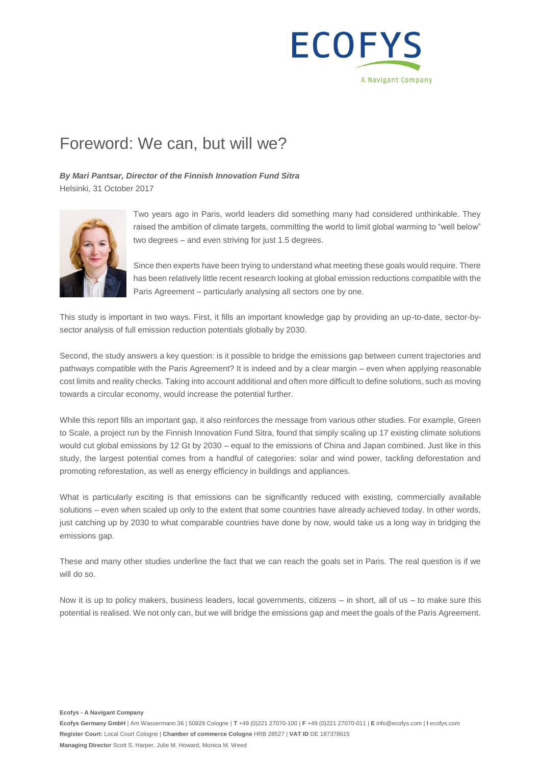

## Foreword: We can, but will we?

*By Mari Pantsar, Director of the Finnish Innovation Fund Sitra* Helsinki, 31 October 2017



Two years ago in Paris, world leaders did something many had considered unthinkable. They raised the ambition of climate targets, committing the world to limit global warming to "well below" two degrees – and even striving for just 1.5 degrees.

Since then experts have been trying to understand what meeting these goals would require. There has been relatively little recent research looking at global emission reductions compatible with the Paris Agreement – particularly analysing all sectors one by one.

This study is important in two ways. First, it fills an important knowledge gap by providing an up-to-date, sector-bysector analysis of full emission reduction potentials globally by 2030.

Second, the study answers a key question: is it possible to bridge the emissions gap between current trajectories and pathways compatible with the Paris Agreement? It is indeed and by a clear margin – even when applying reasonable cost limits and reality checks. Taking into account additional and often more difficult to define solutions, such as moving towards a circular economy, would increase the potential further.

While this report fills an important gap, it also reinforces the message from various other studies. For example, Green to Scale, a project run by the Finnish Innovation Fund Sitra, found that simply scaling up 17 existing climate solutions would cut global emissions by 12 Gt by 2030 – equal to the emissions of China and Japan combined. Just like in this study, the largest potential comes from a handful of categories: solar and wind power, tackling deforestation and promoting reforestation, as well as energy efficiency in buildings and appliances.

What is particularly exciting is that emissions can be significantly reduced with existing, commercially available solutions – even when scaled up only to the extent that some countries have already achieved today. In other words, just catching up by 2030 to what comparable countries have done by now, would take us a long way in bridging the emissions gap.

These and many other studies underline the fact that we can reach the goals set in Paris. The real question is if we will do so.

Now it is up to policy makers, business leaders, local governments, citizens – in short, all of us – to make sure this potential is realised. We not only can, but we will bridge the emissions gap and meet the goals of the Paris Agreement.

**Ecofys - A Navigant Company**

**Ecofys Germany GmbH** | Am Wassermann 36 | 50829 Cologne | **T** +49 (0)221 27070-100 | **F** +49 (0)221 27070-011 | **E** info@ecofys.com | **I** ecofys.com **Register Court:** Local Court Cologne | **Chamber of commerce Cologne** HRB 28527 | **VAT ID** DE 187378615 **Managing Director** Scott S. Harper, Julie M. Howard, Monica M. Weed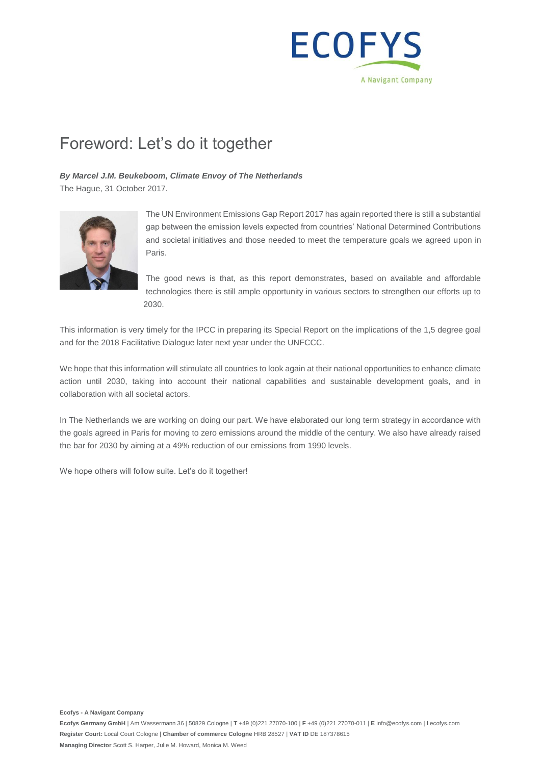

## Foreword: Let's do it together

#### *By Marcel J.M. Beukeboom, Climate Envoy of The Netherlands*

The Hague, 31 October 2017.



The UN Environment Emissions Gap Report 2017 has again reported there is still a substantial gap between the emission levels expected from countries' National Determined Contributions and societal initiatives and those needed to meet the temperature goals we agreed upon in Paris.

The good news is that, as this report demonstrates, based on available and affordable technologies there is still ample opportunity in various sectors to strengthen our efforts up to 2030.

This information is very timely for the IPCC in preparing its Special Report on the implications of the 1,5 degree goal and for the 2018 Facilitative Dialogue later next year under the UNFCCC.

We hope that this information will stimulate all countries to look again at their national opportunities to enhance climate action until 2030, taking into account their national capabilities and sustainable development goals, and in collaboration with all societal actors.

In The Netherlands we are working on doing our part. We have elaborated our long term strategy in accordance with the goals agreed in Paris for moving to zero emissions around the middle of the century. We also have already raised the bar for 2030 by aiming at a 49% reduction of our emissions from 1990 levels.

We hope others will follow suite. Let's do it together!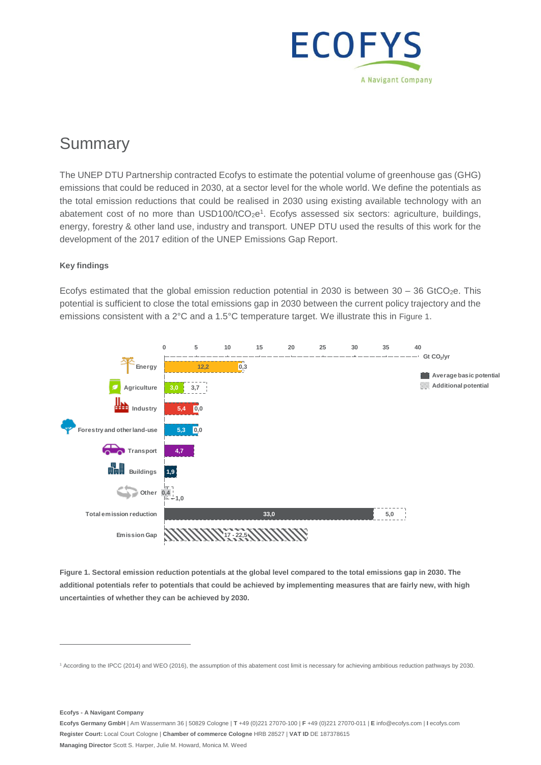

## **Summary**

The UNEP DTU Partnership contracted Ecofys to estimate the potential volume of greenhouse gas (GHG) emissions that could be reduced in 2030, at a sector level for the whole world. We define the potentials as the total emission reductions that could be realised in 2030 using existing available technology with an abatement cost of no more than  $USD100/tCO_2e^1$ . Ecofys assessed six sectors: agriculture, buildings, energy, forestry & other land use, industry and transport. UNEP DTU used the results of this work for the development of the 2017 edition of the UNEP Emissions Gap Report.

#### **Key findings**

Ecofys estimated that the global emission reduction potential in 2030 is between  $30 - 36$  GtCO<sub>2</sub>e. This potential is sufficient to close the total emissions gap in 2030 between the current policy trajectory and the emissions consistent with a 2°C and a 1.5°C temperature target. We illustrate this in Figure 1.



<span id="page-5-0"></span>**Figure 1. Sectoral emission reduction potentials at the global level compared to the total emissions gap in 2030. The additional potentials refer to potentials that could be achieved by implementing measures that are fairly new, with high uncertainties of whether they can be achieved by 2030.**

**Ecofys - A Navigant Company**

<sup>1</sup> According to the IPCC (2014) and WEO (2016), the assumption of this abatement cost limit is necessary for achieving ambitious reduction pathways by 2030.

**Ecofys Germany GmbH** | Am Wassermann 36 | 50829 Cologne | **T** +49 (0)221 27070-100 | **F** +49 (0)221 27070-011 | **E** info@ecofys.com | **I** ecofys.com **Register Court:** Local Court Cologne | **Chamber of commerce Cologne** HRB 28527 | **VAT ID** DE 187378615 **Managing Director** Scott S. Harper, Julie M. Howard, Monica M. Weed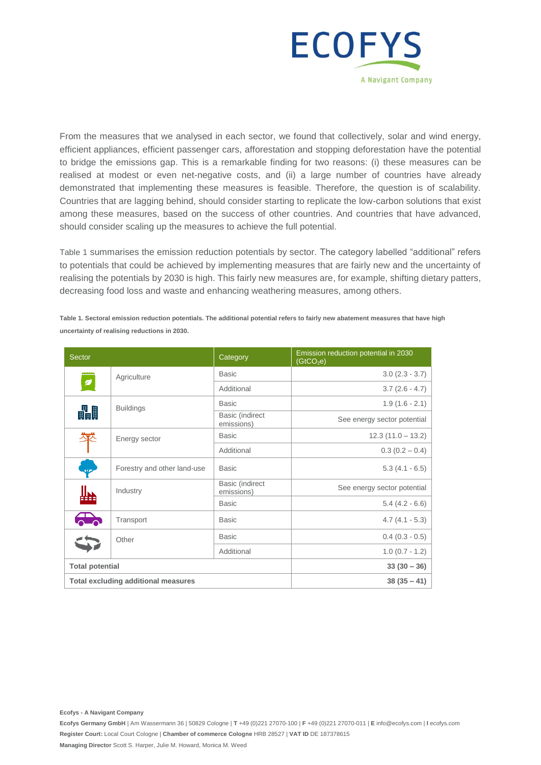

From the measures that we analysed in each sector, we found that collectively, solar and wind energy, efficient appliances, efficient passenger cars, afforestation and stopping deforestation have the potential to bridge the emissions gap. This is a remarkable finding for two reasons: (i) these measures can be realised at modest or even net-negative costs, and (ii) a large number of countries have already demonstrated that implementing these measures is feasible. Therefore, the question is of scalability. Countries that are lagging behind, should consider starting to replicate the low-carbon solutions that exist among these measures, based on the success of other countries. And countries that have advanced, should consider scaling up the measures to achieve the full potential.

[Table 1](#page-6-0) summarises the emission reduction potentials by sector. The category labelled "additional" refers to potentials that could be achieved by implementing measures that are fairly new and the uncertainty of realising the potentials by 2030 is high. This fairly new measures are, for example, shifting dietary patters, decreasing food loss and waste and enhancing weathering measures, among others.

| Sector                                     |                             | Category                      | Emission reduction potential in 2030<br>(GtCO <sub>2</sub> e) |
|--------------------------------------------|-----------------------------|-------------------------------|---------------------------------------------------------------|
|                                            | Agriculture                 | <b>Basic</b>                  | $3.0(2.3 - 3.7)$                                              |
| Ø                                          |                             | Additional                    | $3.7(2.6 - 4.7)$                                              |
| 畾                                          | <b>Buildings</b>            | <b>Basic</b>                  | $1.9(1.6 - 2.1)$                                              |
|                                            |                             | Basic (indirect<br>emissions) | See energy sector potential                                   |
|                                            | Energy sector               | <b>Basic</b>                  | $12.3(11.0 - 13.2)$                                           |
|                                            |                             | Additional                    | $0.3(0.2 - 0.4)$                                              |
| حمله                                       | Forestry and other land-use | <b>Basic</b>                  | $5.3(4.1 - 6.5)$                                              |
|                                            | Industry                    | Basic (indirect<br>emissions) | See energy sector potential                                   |
|                                            |                             | <b>Basic</b>                  | $5.4(4.2 - 6.6)$                                              |
| $\sum_{i=1}^{n}$                           | Transport                   | <b>Basic</b>                  | $4.7(4.1 - 5.3)$                                              |
|                                            | Other                       | <b>Basic</b>                  | $0.4$ (0.3 - 0.5)                                             |
|                                            |                             | Additional                    | $1.0(0.7 - 1.2)$                                              |
|                                            | <b>Total potential</b>      |                               | $33(30-36)$                                                   |
| <b>Total excluding additional measures</b> |                             | $38(35 - 41)$                 |                                                               |

<span id="page-6-0"></span>**Table 1. Sectoral emission reduction potentials. The additional potential refers to fairly new abatement measures that have high uncertainty of realising reductions in 2030.**

**Ecofys - A Navigant Company**

**Ecofys Germany GmbH** | Am Wassermann 36 | 50829 Cologne | **T** +49 (0)221 27070-100 | **F** +49 (0)221 27070-011 | **E** info@ecofys.com | **I** ecofys.com **Register Court:** Local Court Cologne | **Chamber of commerce Cologne** HRB 28527 | **VAT ID** DE 187378615 **Managing Director** Scott S. Harper, Julie M. Howard, Monica M. Weed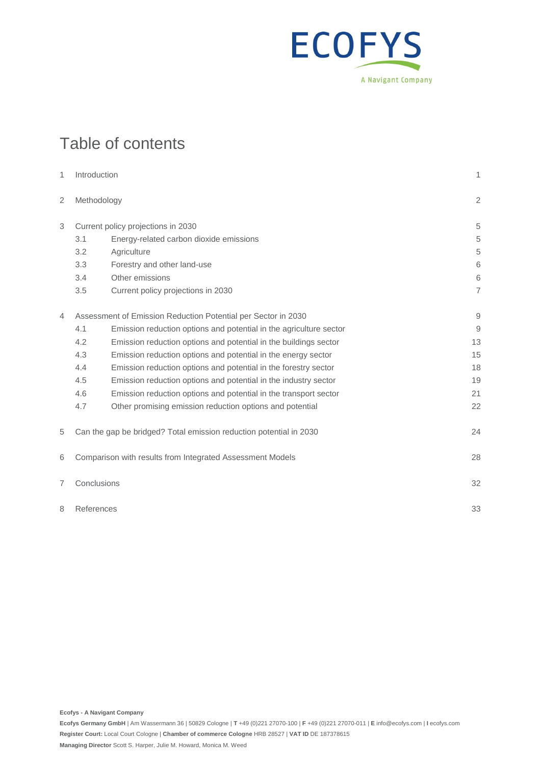

## Table of contents

| 1               | Introduction                                                       |                                                                    | 1              |
|-----------------|--------------------------------------------------------------------|--------------------------------------------------------------------|----------------|
| 2               | Methodology                                                        |                                                                    | $\overline{2}$ |
| 3               |                                                                    | Current policy projections in 2030                                 | 5              |
|                 | 3.1                                                                | Energy-related carbon dioxide emissions                            | 5              |
|                 | 3.2                                                                | Agriculture                                                        | 5              |
|                 | 3.3                                                                | Forestry and other land-use                                        | 6              |
|                 | 3.4                                                                | Other emissions                                                    | 6              |
|                 | 3.5                                                                | Current policy projections in 2030                                 | $\overline{7}$ |
| 4               | Assessment of Emission Reduction Potential per Sector in 2030      |                                                                    | $\mathsf{9}$   |
|                 | 4.1                                                                | Emission reduction options and potential in the agriculture sector | 9              |
|                 | 4.2                                                                | Emission reduction options and potential in the buildings sector   | 13             |
|                 | 4.3                                                                | Emission reduction options and potential in the energy sector      | 15             |
|                 | 4.4                                                                | Emission reduction options and potential in the forestry sector    | 18             |
|                 | 4.5                                                                | Emission reduction options and potential in the industry sector    | 19             |
|                 | 4.6                                                                | Emission reduction options and potential in the transport sector   | 21             |
|                 | 4.7                                                                | Other promising emission reduction options and potential           | 22             |
| 5               | Can the gap be bridged? Total emission reduction potential in 2030 |                                                                    |                |
| 6               | Comparison with results from Integrated Assessment Models          |                                                                    | 28             |
| 7               | Conclusions                                                        |                                                                    | 32             |
| 8<br>References |                                                                    | 33                                                                 |                |

**Ecofys - A Navigant Company**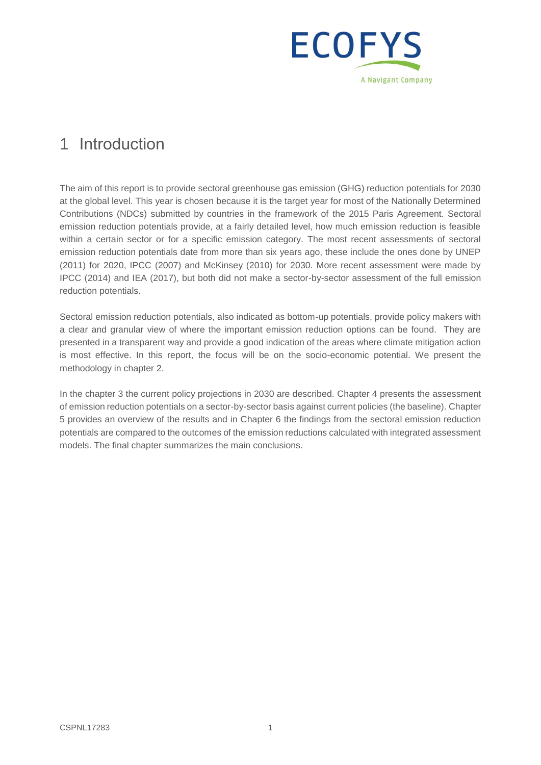

## 1 Introduction

The aim of this report is to provide sectoral greenhouse gas emission (GHG) reduction potentials for 2030 at the global level. This year is chosen because it is the target year for most of the Nationally Determined Contributions (NDCs) submitted by countries in the framework of the 2015 Paris Agreement. Sectoral emission reduction potentials provide, at a fairly detailed level, how much emission reduction is feasible within a certain sector or for a specific emission category. The most recent assessments of sectoral emission reduction potentials date from more than six years ago, these include the ones done by UNEP (2011) for 2020, IPCC (2007) and McKinsey (2010) for 2030. More recent assessment were made by IPCC (2014) and IEA (2017), but both did not make a sector-by-sector assessment of the full emission reduction potentials.

Sectoral emission reduction potentials, also indicated as bottom-up potentials, provide policy makers with a clear and granular view of where the important emission reduction options can be found. They are presented in a transparent way and provide a good indication of the areas where climate mitigation action is most effective. In this report, the focus will be on the socio-economic potential. We present the methodology in chapter 2.

In the chapter 3 the current policy projections in 2030 are described. Chapter 4 presents the assessment of emission reduction potentials on a sector-by-sector basis against current policies (the baseline). Chapter 5 provides an overview of the results and in Chapter 6 the findings from the sectoral emission reduction potentials are compared to the outcomes of the emission reductions calculated with integrated assessment models. The final chapter summarizes the main conclusions.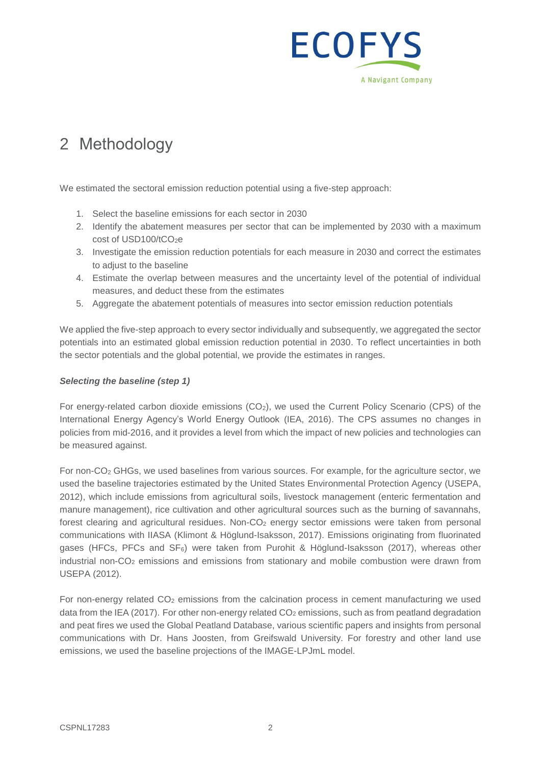

## 2 Methodology

We estimated the sectoral emission reduction potential using a five-step approach:

- 1. Select the baseline emissions for each sector in 2030
- 2. Identify the abatement measures per sector that can be implemented by 2030 with a maximum cost of USD100/tCO<sub>2</sub>e
- 3. Investigate the emission reduction potentials for each measure in 2030 and correct the estimates to adjust to the baseline
- 4. Estimate the overlap between measures and the uncertainty level of the potential of individual measures, and deduct these from the estimates
- 5. Aggregate the abatement potentials of measures into sector emission reduction potentials

We applied the five-step approach to every sector individually and subsequently, we aggregated the sector potentials into an estimated global emission reduction potential in 2030. To reflect uncertainties in both the sector potentials and the global potential, we provide the estimates in ranges.

#### *Selecting the baseline (step 1)*

For energy-related carbon dioxide emissions (CO<sub>2</sub>), we used the Current Policy Scenario (CPS) of the International Energy Agency's World Energy Outlook (IEA, 2016). The CPS assumes no changes in policies from mid-2016, and it provides a level from which the impact of new policies and technologies can be measured against.

For non-CO<sup>2</sup> GHGs, we used baselines from various sources. For example, for the agriculture sector, we used the baseline trajectories estimated by the United States Environmental Protection Agency (USEPA, 2012), which include emissions from agricultural soils, livestock management (enteric fermentation and manure management), rice cultivation and other agricultural sources such as the burning of savannahs, forest clearing and agricultural residues. Non-CO<sub>2</sub> energy sector emissions were taken from personal communications with IIASA (Klimont & Höglund-Isaksson, 2017). Emissions originating from fluorinated gases (HFCs, PFCs and  $SF_6$ ) were taken from Purohit & Höglund-Isaksson (2017), whereas other industrial non-CO<sub>2</sub> emissions and emissions from stationary and mobile combustion were drawn from USEPA (2012).

For non-energy related CO<sub>2</sub> emissions from the calcination process in cement manufacturing we used data from the IEA (2017). For other non-energy related  $CO<sub>2</sub>$  emissions, such as from peatland degradation and peat fires we used the Global Peatland Database, various scientific papers and insights from personal communications with Dr. Hans Joosten, from Greifswald University. For forestry and other land use emissions, we used the baseline projections of the IMAGE-LPJmL model.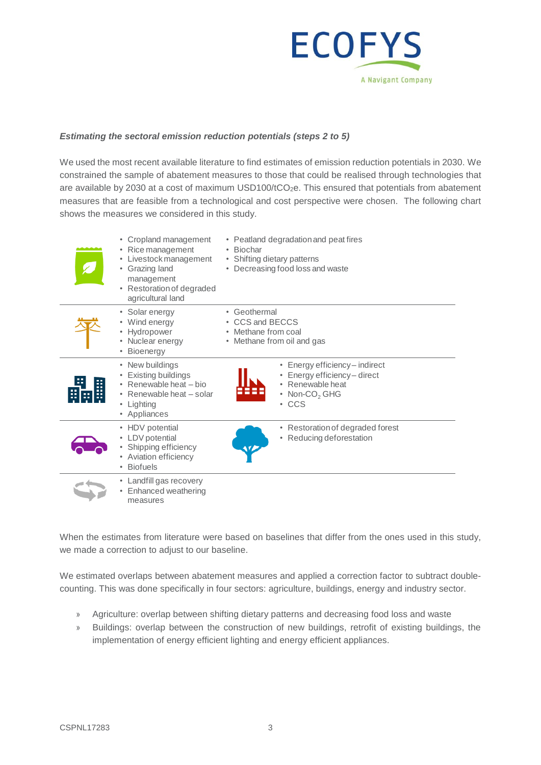

#### *Estimating the sectoral emission reduction potentials (steps 2 to 5)*

We used the most recent available literature to find estimates of emission reduction potentials in 2030. We constrained the sample of abatement measures to those that could be realised through technologies that are available by 2030 at a cost of maximum USD100/tCO<sub>2</sub>e. This ensured that potentials from abatement measures that are feasible from a technological and cost perspective were chosen. The following chart shows the measures we considered in this study.

| • Cropland management<br>Rice management<br>• Livestock management<br>• Grazing land<br>management<br>• Restoration of degraded<br>agricultural land | • Peatland degradation and peat fires<br>• Biochar<br>• Shifting dietary patterns<br>• Decreasing food loss and waste      |
|------------------------------------------------------------------------------------------------------------------------------------------------------|----------------------------------------------------------------------------------------------------------------------------|
| • Solar energy<br>• Wind energy<br>Hydropower<br>• Nuclear energy<br><b>Bioenergy</b>                                                                | • Geothermal<br>• CCS and BECCS<br>• Methane from coal<br>• Methane from oil and gas                                       |
| • New buildings<br>Existing buildings<br>• Renewable heat - bio<br>• Renewable heat - solar<br>• Lighting<br>• Appliances                            | • Energy efficiency - indirect<br>Energy efficiency-direct<br>• Renewable heat<br>• Non-CO <sub>2</sub> GHG<br>$\cdot$ CCS |
| • HDV potential<br>• LDV potential<br>• Shipping efficiency<br>Aviation efficiency<br><b>Biofuels</b>                                                | • Restoration of degraded forest<br>• Reducing deforestation                                                               |
| • Landfill gas recovery<br>Enhanced weathering<br>$\bullet$<br>measures                                                                              |                                                                                                                            |

When the estimates from literature were based on baselines that differ from the ones used in this study, we made a correction to adjust to our baseline.

We estimated overlaps between abatement measures and applied a correction factor to subtract doublecounting. This was done specifically in four sectors: agriculture, buildings, energy and industry sector.

- » Agriculture: overlap between shifting dietary patterns and decreasing food loss and waste
- » Buildings: overlap between the construction of new buildings, retrofit of existing buildings, the implementation of energy efficient lighting and energy efficient appliances.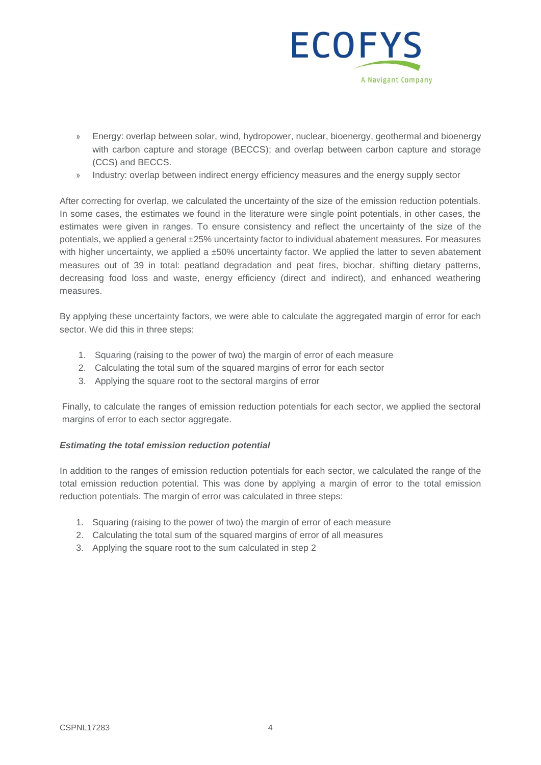

- » Energy: overlap between solar, wind, hydropower, nuclear, bioenergy, geothermal and bioenergy with carbon capture and storage (BECCS); and overlap between carbon capture and storage (CCS) and BECCS.
- » Industry: overlap between indirect energy efficiency measures and the energy supply sector

After correcting for overlap, we calculated the uncertainty of the size of the emission reduction potentials. In some cases, the estimates we found in the literature were single point potentials, in other cases, the estimates were given in ranges. To ensure consistency and reflect the uncertainty of the size of the potentials, we applied a general ±25% uncertainty factor to individual abatement measures. For measures with higher uncertainty, we applied a  $\pm 50\%$  uncertainty factor. We applied the latter to seven abatement measures out of 39 in total: peatland degradation and peat fires, biochar, shifting dietary patterns, decreasing food loss and waste, energy efficiency (direct and indirect), and enhanced weathering measures.

By applying these uncertainty factors, we were able to calculate the aggregated margin of error for each sector. We did this in three steps:

- 1. Squaring (raising to the power of two) the margin of error of each measure
- 2. Calculating the total sum of the squared margins of error for each sector
- 3. Applying the square root to the sectoral margins of error

Finally, to calculate the ranges of emission reduction potentials for each sector, we applied the sectoral margins of error to each sector aggregate.

#### *Estimating the total emission reduction potential*

In addition to the ranges of emission reduction potentials for each sector, we calculated the range of the total emission reduction potential. This was done by applying a margin of error to the total emission reduction potentials. The margin of error was calculated in three steps:

- 1. Squaring (raising to the power of two) the margin of error of each measure
- 2. Calculating the total sum of the squared margins of error of all measures
- 3. Applying the square root to the sum calculated in step 2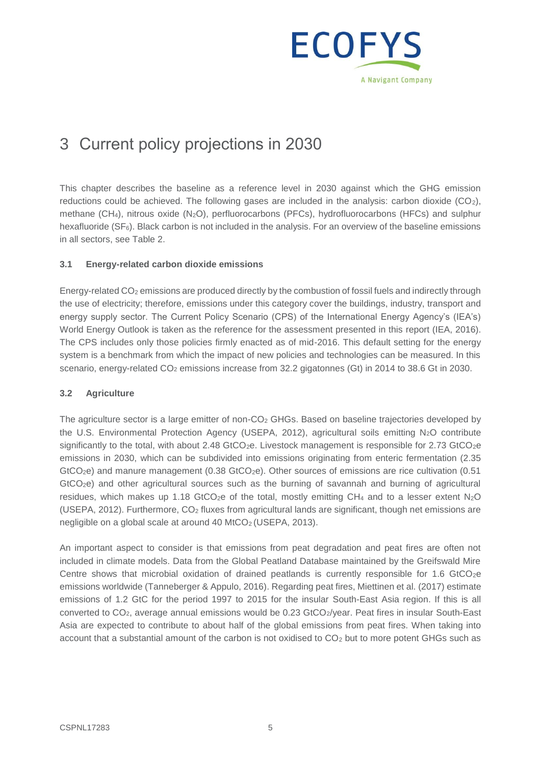

## 3 Current policy projections in 2030

This chapter describes the baseline as a reference level in 2030 against which the GHG emission reductions could be achieved. The following gases are included in the analysis: carbon dioxide  $(CO_2)$ , methane (CH4), nitrous oxide (N2O), perfluorocarbons (PFCs), hydrofluorocarbons (HFCs) and sulphur hexafluoride (SF6). Black carbon is not included in the analysis. For an overview of the baseline emissions in all sectors, see [Table 2.](#page-15-0)

#### **3.1 Energy-related carbon dioxide emissions**

Energy-related CO<sup>2</sup> emissions are produced directly by the combustion of fossil fuels and indirectly through the use of electricity; therefore, emissions under this category cover the buildings, industry, transport and energy supply sector. The Current Policy Scenario (CPS) of the International Energy Agency's (IEA's) World Energy Outlook is taken as the reference for the assessment presented in this report (IEA, 2016). The CPS includes only those policies firmly enacted as of mid-2016. This default setting for the energy system is a benchmark from which the impact of new policies and technologies can be measured. In this scenario, energy-related CO<sub>2</sub> emissions increase from 32.2 gigatonnes (Gt) in 2014 to 38.6 Gt in 2030.

#### **3.2 Agriculture**

The agriculture sector is a large emitter of non-CO<sub>2</sub> GHGs. Based on baseline trajectories developed by the U.S. Environmental Protection Agency (USEPA, 2012), agricultural soils emitting N<sub>2</sub>O contribute significantly to the total, with about 2.48 GtCO<sub>2</sub>e. Livestock management is responsible for 2.73 GtCO<sub>2</sub>e emissions in 2030, which can be subdivided into emissions originating from enteric fermentation (2.35 GtCO<sub>2</sub>e) and manure management (0.38 GtCO<sub>2</sub>e). Other sources of emissions are rice cultivation (0.51 GtCO2e) and other agricultural sources such as the burning of savannah and burning of agricultural residues, which makes up 1.18 GtCO<sub>2</sub>e of the total, mostly emitting CH<sub>4</sub> and to a lesser extent N<sub>2</sub>O (USEPA, 2012). Furthermore,  $CO<sub>2</sub>$  fluxes from agricultural lands are significant, though net emissions are negligible on a global scale at around 40 MtCO<sub>2</sub> (USEPA, 2013).

An important aspect to consider is that emissions from peat degradation and peat fires are often not included in climate models. Data from the Global Peatland Database maintained by the Greifswald Mire Centre shows that microbial oxidation of drained peatlands is currently responsible for 1.6 GtCO<sub>2</sub>e emissions worldwide (Tanneberger & Appulo, 2016). Regarding peat fires, Miettinen et al. (2017) estimate emissions of 1.2 GtC for the period 1997 to 2015 for the insular South-East Asia region. If this is all converted to CO<sub>2</sub>, average annual emissions would be 0.23 GtCO<sub>2</sub>/year. Peat fires in insular South-East Asia are expected to contribute to about half of the global emissions from peat fires. When taking into account that a substantial amount of the carbon is not oxidised to CO<sub>2</sub> but to more potent GHGs such as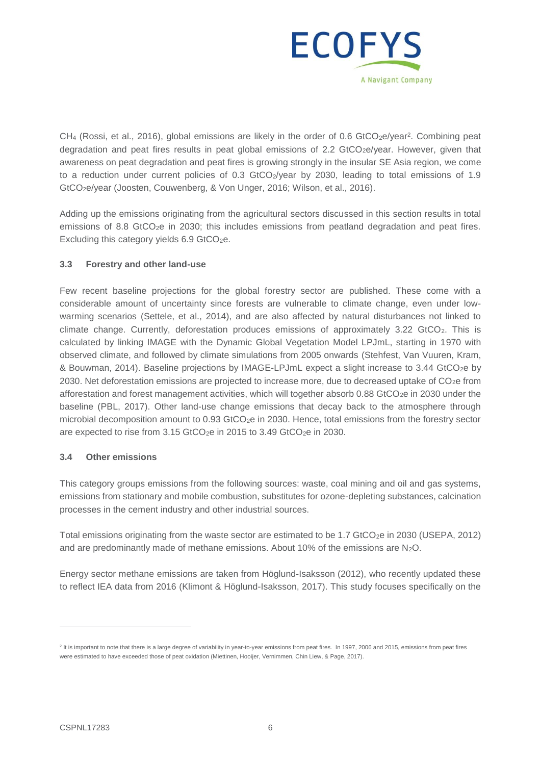

 $CH<sub>4</sub>$  (Rossi, et al., 2016), global emissions are likely in the order of 0.6 GtCO<sub>2</sub>e/year<sup>2</sup>. Combining peat degradation and peat fires results in peat global emissions of 2.2 GtCO<sub>2</sub>e/year. However, given that awareness on peat degradation and peat fires is growing strongly in the insular SE Asia region, we come to a reduction under current policies of 0.3 GtCO<sub>2</sub>/year by 2030, leading to total emissions of 1.9 GtCO2e/year (Joosten, Couwenberg, & Von Unger, 2016; Wilson, et al., 2016).

Adding up the emissions originating from the agricultural sectors discussed in this section results in total emissions of 8.8 GtCO<sub>2</sub>e in 2030; this includes emissions from peatland degradation and peat fires. Excluding this category yields  $6.9$  GtCO<sub>2</sub>e.

#### **3.3 Forestry and other land-use**

Few recent baseline projections for the global forestry sector are published. These come with a considerable amount of uncertainty since forests are vulnerable to climate change, even under lowwarming scenarios (Settele, et al., 2014), and are also affected by natural disturbances not linked to climate change. Currently, deforestation produces emissions of approximately 3.22 GtCO<sub>2</sub>. This is calculated by linking IMAGE with the Dynamic Global Vegetation Model LPJmL, starting in 1970 with observed climate, and followed by climate simulations from 2005 onwards (Stehfest, Van Vuuren, Kram, & Bouwman, 2014). Baseline projections by IMAGE-LPJmL expect a slight increase to 3.44 GtCO2e by 2030. Net deforestation emissions are projected to increase more, due to decreased uptake of CO<sub>2</sub>e from afforestation and forest management activities, which will together absorb 0.88 GtCO<sub>2</sub>e in 2030 under the baseline (PBL, 2017). Other land-use change emissions that decay back to the atmosphere through microbial decomposition amount to 0.93 GtCO2e in 2030. Hence, total emissions from the forestry sector are expected to rise from  $3.15$  GtCO<sub>2</sub>e in 2015 to  $3.49$  GtCO<sub>2</sub>e in 2030.

#### **3.4 Other emissions**

This category groups emissions from the following sources: waste, coal mining and oil and gas systems, emissions from stationary and mobile combustion, substitutes for ozone-depleting substances, calcination processes in the cement industry and other industrial sources.

Total emissions originating from the waste sector are estimated to be 1.7 GtCO<sub>2</sub>e in 2030 (USEPA, 2012) and are predominantly made of methane emissions. About 10% of the emissions are  $N_2O$ .

Energy sector methane emissions are taken from Höglund-Isaksson (2012), who recently updated these to reflect IEA data from 2016 (Klimont & Höglund-Isaksson, 2017). This study focuses specifically on the

<sup>&</sup>lt;sup>2</sup> It is important to note that there is a large degree of variability in year-to-year emissions from peat fires. In 1997, 2006 and 2015, emissions from peat fires were estimated to have exceeded those of peat oxidation (Miettinen, Hooijer, Vernimmen, Chin Liew, & Page, 2017).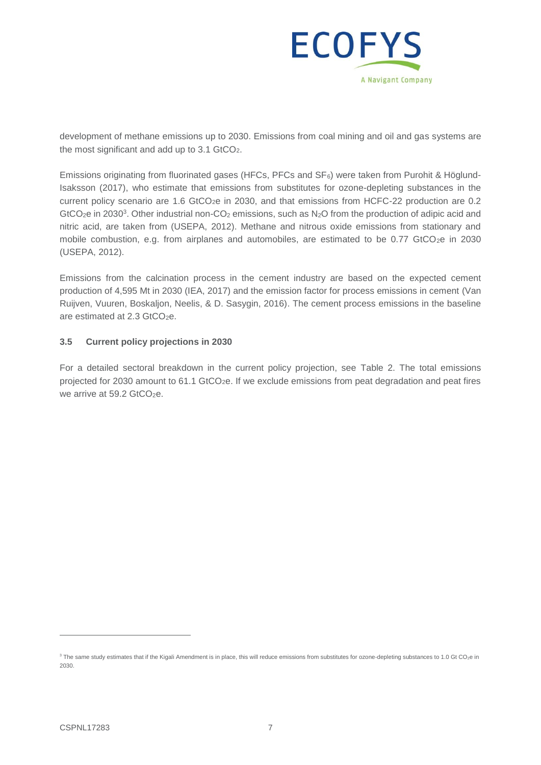

development of methane emissions up to 2030. Emissions from coal mining and oil and gas systems are the most significant and add up to 3.1 GtCO<sub>2</sub>.

Emissions originating from fluorinated gases (HFCs, PFCs and  $SF<sub>6</sub>$ ) were taken from Purohit & Höglund-Isaksson (2017), who estimate that emissions from substitutes for ozone-depleting substances in the current policy scenario are  $1.6$  GtCO<sub>2</sub>e in 2030, and that emissions from HCFC-22 production are 0.2 GtCO<sub>2</sub>e in 2030<sup>3</sup>. Other industrial non-CO<sub>2</sub> emissions, such as N<sub>2</sub>O from the production of adipic acid and nitric acid, are taken from (USEPA, 2012). Methane and nitrous oxide emissions from stationary and mobile combustion, e.g. from airplanes and automobiles, are estimated to be  $0.77$  GtCO<sub>2</sub>e in 2030 (USEPA, 2012).

Emissions from the calcination process in the cement industry are based on the expected cement production of 4,595 Mt in 2030 (IEA, 2017) and the emission factor for process emissions in cement (Van Ruijven, Vuuren, Boskaljon, Neelis, & D. Sasygin, 2016). The cement process emissions in the baseline are estimated at 2.3 GtCO<sub>2</sub>e.

#### **3.5 Current policy projections in 2030**

For a detailed sectoral breakdown in the current policy projection, see [Table 2.](#page-15-0) The total emissions projected for 2030 amount to 61.1 GtCO<sub>2</sub>e. If we exclude emissions from peat degradation and peat fires we arrive at  $59.2$  GtCO<sub>2</sub>e.

<sup>&</sup>lt;sup>3</sup> The same study estimates that if the Kigali Amendment is in place, this will reduce emissions from substitutes for ozone-depleting substances to 1.0 Gt CO<sub>2</sub>e in 2030.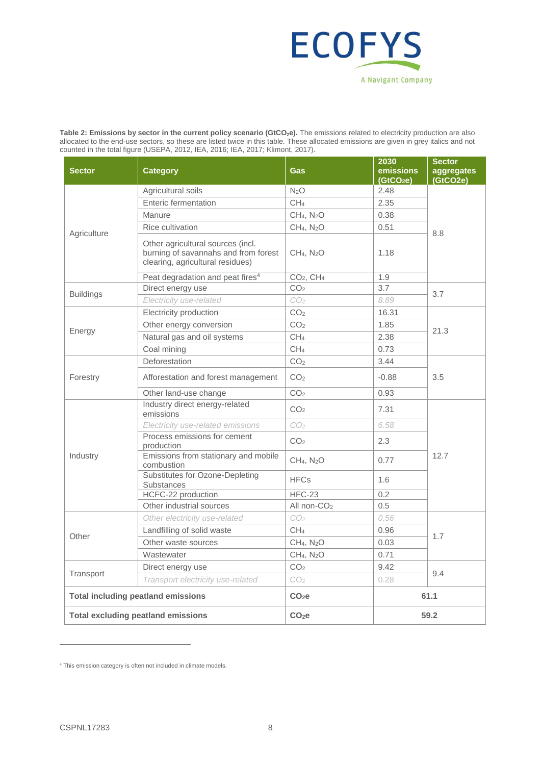

<span id="page-15-0"></span>**Table 2: Emissions by sector in the current policy scenario (GtCO2e).** The emissions related to electricity production are also allocated to the end-use sectors, so these are listed twice in this table. These allocated emissions are given in grey italics and not counted in the total figure (USEPA, 2012, IEA, 2016; IEA, 2017; Klimont, 2017).

|                                           |                                                                                                               |                                            | 2030                          | <b>Sector</b> |  |
|-------------------------------------------|---------------------------------------------------------------------------------------------------------------|--------------------------------------------|-------------------------------|---------------|--|
| <b>Sector</b>                             | <b>Category</b>                                                                                               | <b>Gas</b>                                 | emissions                     | aggregates    |  |
|                                           | Agricultural soils                                                                                            | N <sub>2</sub> O                           | (GtCO <sub>2</sub> e)<br>2.48 | (GtCO2e)      |  |
|                                           | <b>Enteric fermentation</b>                                                                                   | CH <sub>4</sub>                            | 2.35                          |               |  |
|                                           | Manure                                                                                                        | CH <sub>4</sub> , N <sub>2</sub> O         | 0.38                          |               |  |
|                                           |                                                                                                               |                                            |                               |               |  |
| Agriculture                               | <b>Rice cultivation</b>                                                                                       | CH <sub>4</sub> , N <sub>2</sub> O         | 0.51                          | 8.8           |  |
|                                           | Other agricultural sources (incl.<br>burning of savannahs and from forest<br>clearing, agricultural residues) | CH <sub>4</sub> , N <sub>2</sub> O<br>1.18 |                               |               |  |
|                                           |                                                                                                               |                                            |                               |               |  |
|                                           | Peat degradation and peat fires <sup>4</sup>                                                                  | CO <sub>2</sub> , CH <sub>4</sub>          | 1.9                           |               |  |
| <b>Buildings</b>                          | Direct energy use                                                                                             | CO <sub>2</sub>                            | 3.7                           | 3.7           |  |
|                                           | Electricity use-related                                                                                       | CO <sub>2</sub>                            | 8.89                          |               |  |
|                                           | Electricity production                                                                                        | CO <sub>2</sub>                            | 16.31                         |               |  |
| Energy                                    | Other energy conversion                                                                                       | CO <sub>2</sub>                            | 1.85                          | 21.3          |  |
|                                           | Natural gas and oil systems                                                                                   | CH <sub>4</sub>                            | 2.38                          |               |  |
|                                           | Coal mining                                                                                                   | CH <sub>4</sub>                            | 0.73                          |               |  |
|                                           | Deforestation                                                                                                 | CO <sub>2</sub>                            | 3.44                          |               |  |
| Forestry                                  | Afforestation and forest management                                                                           | CO <sub>2</sub>                            | $-0.88$                       | 3.5           |  |
|                                           | Other land-use change                                                                                         | CO <sub>2</sub>                            | 0.93                          |               |  |
|                                           | Industry direct energy-related<br>emissions                                                                   | CO <sub>2</sub>                            | 7.31                          | 12.7          |  |
|                                           | Electricity use-related emissions                                                                             | CO <sub>2</sub>                            | 6.58                          |               |  |
|                                           | Process emissions for cement<br>production                                                                    | CO <sub>2</sub>                            | 2.3                           |               |  |
| Industry                                  | Emissions from stationary and mobile<br>combustion                                                            | CH <sub>4</sub> , N <sub>2</sub> O         | 0.77                          |               |  |
|                                           | Substitutes for Ozone-Depleting<br><b>Substances</b>                                                          | <b>HFCs</b>                                | 1.6                           |               |  |
|                                           | HCFC-22 production                                                                                            | <b>HFC-23</b>                              | 0.2                           |               |  |
|                                           | Other industrial sources                                                                                      | All non-CO <sub>2</sub>                    | 0.5                           |               |  |
|                                           | Other electricity use-related                                                                                 | CO <sub>2</sub>                            | 0.56                          | 1.7           |  |
| Other                                     | Landfilling of solid waste                                                                                    | CH <sub>4</sub>                            | 0.96                          |               |  |
|                                           | Other waste sources                                                                                           | CH <sub>4</sub> , N <sub>2</sub> O         | 0.03                          |               |  |
|                                           | Wastewater                                                                                                    | CH <sub>4</sub> , N <sub>2</sub> O         | 0.71                          |               |  |
|                                           | Direct energy use                                                                                             | CO <sub>2</sub>                            | 9.42                          |               |  |
| Transport                                 | Transport electricity use-related                                                                             | CO <sub>2</sub>                            | 9.4<br>0.28                   |               |  |
|                                           | <b>Total including peatland emissions</b>                                                                     | CO <sub>2</sub> e                          | 61.1                          |               |  |
| <b>Total excluding peatland emissions</b> |                                                                                                               | $CO2$ e                                    | 59.2                          |               |  |

<sup>4</sup> This emission category is often not included in climate models.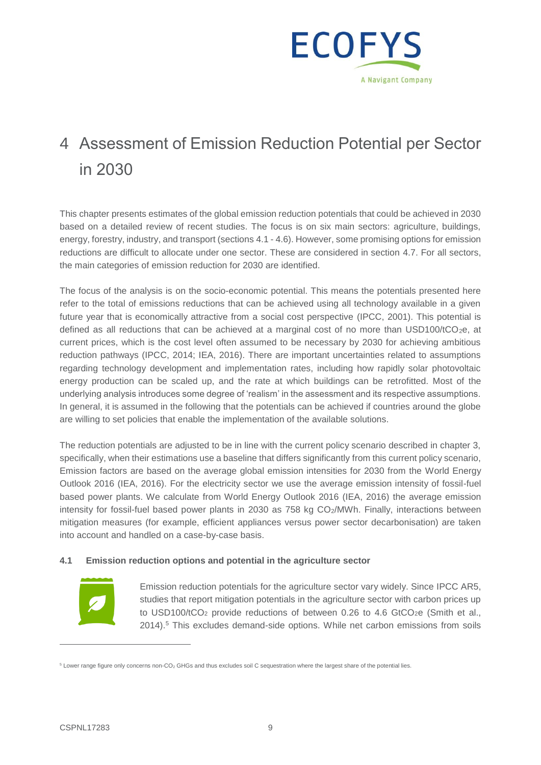

## 4 Assessment of Emission Reduction Potential per Sector in 2030

This chapter presents estimates of the global emission reduction potentials that could be achieved in 2030 based on a detailed review of recent studies. The focus is on six main sectors: agriculture, buildings, energy, forestry, industry, and transport (sections 4.1 - 4.6). However, some promising options for emission reductions are difficult to allocate under one sector. These are considered in section 4.7. For all sectors, the main categories of emission reduction for 2030 are identified.

The focus of the analysis is on the socio-economic potential. This means the potentials presented here refer to the total of emissions reductions that can be achieved using all technology available in a given future year that is economically attractive from a social cost perspective (IPCC, 2001). This potential is defined as all reductions that can be achieved at a marginal cost of no more than USD100/tCO<sub>2</sub>e, at current prices, which is the cost level often assumed to be necessary by 2030 for achieving ambitious reduction pathways (IPCC, 2014; IEA, 2016). There are important uncertainties related to assumptions regarding technology development and implementation rates, including how rapidly solar photovoltaic energy production can be scaled up, and the rate at which buildings can be retrofitted. Most of the underlying analysis introduces some degree of 'realism' in the assessment and its respective assumptions. In general, it is assumed in the following that the potentials can be achieved if countries around the globe are willing to set policies that enable the implementation of the available solutions.

The reduction potentials are adjusted to be in line with the current policy scenario described in chapter 3, specifically, when their estimations use a baseline that differs significantly from this current policy scenario, Emission factors are based on the average global emission intensities for 2030 from the World Energy Outlook 2016 (IEA, 2016). For the electricity sector we use the average emission intensity of fossil-fuel based power plants. We calculate from World Energy Outlook 2016 (IEA, 2016) the average emission intensity for fossil-fuel based power plants in 2030 as 758 kg CO<sub>2</sub>/MWh. Finally, interactions between mitigation measures (for example, efficient appliances versus power sector decarbonisation) are taken into account and handled on a case-by-case basis.

#### **4.1 Emission reduction options and potential in the agriculture sector**



Emission reduction potentials for the agriculture sector vary widely. Since IPCC AR5, studies that report mitigation potentials in the agriculture sector with carbon prices up to USD100/tCO<sub>2</sub> provide reductions of between 0.26 to 4.6 GtCO<sub>2</sub>e (Smith et al., 2014). <sup>5</sup> This excludes demand-side options. While net carbon emissions from soils

<sup>&</sup>lt;sup>5</sup> Lower range figure only concerns non-CO<sub>2</sub> GHGs and thus excludes soil C sequestration where the largest share of the potential lies.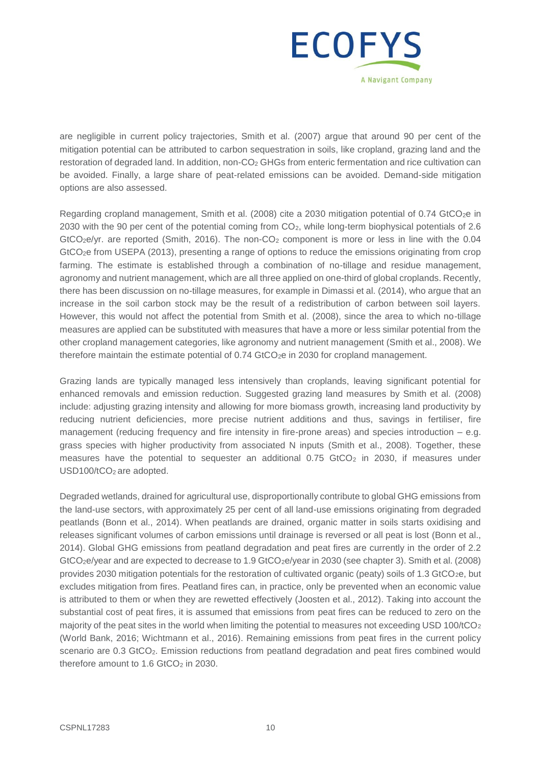

are negligible in current policy trajectories, Smith et al. (2007) argue that around 90 per cent of the mitigation potential can be attributed to carbon sequestration in soils, like cropland, grazing land and the restoration of degraded land. In addition, non-CO<sup>2</sup> GHGs from enteric fermentation and rice cultivation can be avoided. Finally, a large share of peat-related emissions can be avoided. Demand-side mitigation options are also assessed.

Regarding cropland management, Smith et al. (2008) cite a 2030 mitigation potential of 0.74 GtCO<sub>2</sub>e in 2030 with the 90 per cent of the potential coming from CO2, while long-term biophysical potentials of 2.6  $GtCO<sub>2</sub>e/yr$ . are reported (Smith, 2016). The non- $CO<sub>2</sub>$  component is more or less in line with the 0.04 GtCO2e from USEPA (2013), presenting a range of options to reduce the emissions originating from crop farming. The estimate is established through a combination of no-tillage and residue management, agronomy and nutrient management, which are all three applied on one-third of global croplands. Recently, there has been discussion on no-tillage measures, for example in Dimassi et al. (2014), who argue that an increase in the soil carbon stock may be the result of a redistribution of carbon between soil layers. However, this would not affect the potential from Smith et al. (2008), since the area to which no-tillage measures are applied can be substituted with measures that have a more or less similar potential from the other cropland management categories, like agronomy and nutrient management (Smith et al., 2008). We therefore maintain the estimate potential of 0.74 GtCO<sub>2</sub>e in 2030 for cropland management.

Grazing lands are typically managed less intensively than croplands, leaving significant potential for enhanced removals and emission reduction. Suggested grazing land measures by Smith et al. (2008) include: adjusting grazing intensity and allowing for more biomass growth, increasing land productivity by reducing nutrient deficiencies, more precise nutrient additions and thus, savings in fertiliser, fire management (reducing frequency and fire intensity in fire-prone areas) and species introduction – e.g. grass species with higher productivity from associated N inputs (Smith et al., 2008). Together, these measures have the potential to sequester an additional  $0.75$  GtCO<sub>2</sub> in 2030, if measures under USD100/tCO<sub>2</sub> are adopted.

Degraded wetlands, drained for agricultural use, disproportionally contribute to global GHG emissions from the land-use sectors, with approximately 25 per cent of all land-use emissions originating from degraded peatlands (Bonn et al., 2014). When peatlands are drained, organic matter in soils starts oxidising and releases significant volumes of carbon emissions until drainage is reversed or all peat is lost (Bonn et al., 2014). Global GHG emissions from peatland degradation and peat fires are currently in the order of 2.2 GtCO<sub>2</sub>e/year and are expected to decrease to 1.9 GtCO<sub>2</sub>e/year in 2030 (see chapter 3). Smith et al. (2008) provides 2030 mitigation potentials for the restoration of cultivated organic (peaty) soils of 1.3 GtCO2e, but excludes mitigation from fires. Peatland fires can, in practice, only be prevented when an economic value is attributed to them or when they are rewetted effectively (Joosten et al., 2012). Taking into account the substantial cost of peat fires, it is assumed that emissions from peat fires can be reduced to zero on the majority of the peat sites in the world when limiting the potential to measures not exceeding USD 100/tCO<sub>2</sub> (World Bank, 2016; Wichtmann et al., 2016). Remaining emissions from peat fires in the current policy scenario are 0.3 GtCO<sub>2</sub>. Emission reductions from peatland degradation and peat fires combined would therefore amount to  $1.6$  GtCO<sub>2</sub> in 2030.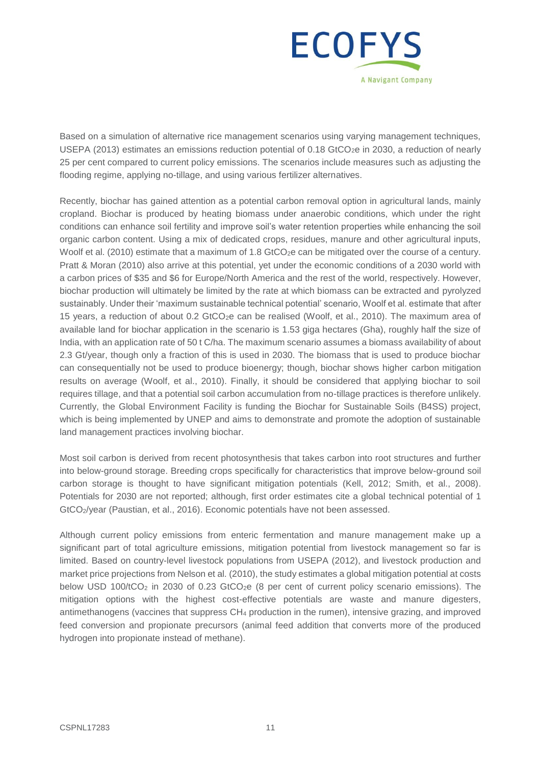

Based on a simulation of alternative rice management scenarios using varying management techniques, USEPA (2013) estimates an emissions reduction potential of 0.18 GtCO<sub>2</sub>e in 2030, a reduction of nearly 25 per cent compared to current policy emissions. The scenarios include measures such as adjusting the flooding regime, applying no-tillage, and using various fertilizer alternatives.

Recently, biochar has gained attention as a potential carbon removal option in agricultural lands, mainly cropland. Biochar is produced by heating biomass under anaerobic conditions, which under the right conditions can enhance soil fertility and improve soil's water retention properties while enhancing the soil organic carbon content. Using a mix of dedicated crops, residues, manure and other agricultural inputs, Woolf et al. (2010) estimate that a maximum of 1.8 GtCO<sub>2</sub>e can be mitigated over the course of a century. Pratt & Moran (2010) also arrive at this potential, yet under the economic conditions of a 2030 world with a carbon prices of \$35 and \$6 for Europe/North America and the rest of the world, respectively. However, biochar production will ultimately be limited by the rate at which biomass can be extracted and pyrolyzed sustainably. Under their 'maximum sustainable technical potential' scenario, Woolf et al. estimate that after 15 years, a reduction of about 0.2 GtCO<sub>2</sub>e can be realised (Woolf, et al., 2010). The maximum area of available land for biochar application in the scenario is 1.53 giga hectares (Gha), roughly half the size of India, with an application rate of 50 t C/ha. The maximum scenario assumes a biomass availability of about 2.3 Gt/year, though only a fraction of this is used in 2030. The biomass that is used to produce biochar can consequentially not be used to produce bioenergy; though, biochar shows higher carbon mitigation results on average (Woolf, et al., 2010). Finally, it should be considered that applying biochar to soil requires tillage, and that a potential soil carbon accumulation from no-tillage practices is therefore unlikely. Currently, the Global Environment Facility is funding the Biochar for Sustainable Soils (B4SS) project, which is being implemented by UNEP and aims to demonstrate and promote the adoption of sustainable land management practices involving biochar.

Most soil carbon is derived from recent photosynthesis that takes carbon into root structures and further into below-ground storage. Breeding crops specifically for characteristics that improve below-ground soil carbon storage is thought to have significant mitigation potentials (Kell, 2012; Smith, et al., 2008). Potentials for 2030 are not reported; although, first order estimates cite a global technical potential of 1 GtCO2/year (Paustian, et al., 2016). Economic potentials have not been assessed.

Although current policy emissions from enteric fermentation and manure management make up a significant part of total agriculture emissions, mitigation potential from livestock management so far is limited. Based on country-level livestock populations from USEPA (2012), and livestock production and market price projections from Nelson et al. (2010), the study estimates a global mitigation potential at costs below USD 100/tCO<sub>2</sub> in 2030 of 0.23 GtCO<sub>2</sub>e (8 per cent of current policy scenario emissions). The mitigation options with the highest cost-effective potentials are waste and manure digesters, antimethanogens (vaccines that suppress CH<sup>4</sup> production in the rumen), intensive grazing, and improved feed conversion and propionate precursors (animal feed addition that converts more of the produced hydrogen into propionate instead of methane).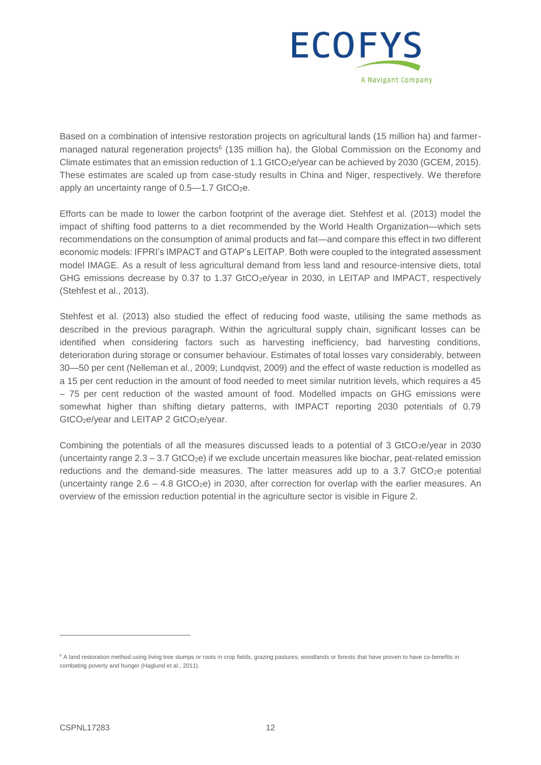

Based on a combination of intensive restoration projects on agricultural lands (15 million ha) and farmermanaged natural regeneration projects<sup>6</sup> (135 million ha), the Global Commission on the Economy and Climate estimates that an emission reduction of 1.1 GtCO<sub>2</sub>e/year can be achieved by 2030 (GCEM, 2015). These estimates are scaled up from case-study results in China and Niger, respectively. We therefore apply an uncertainty range of  $0.5-1.7$  GtCO<sub>2</sub>e.

Efforts can be made to lower the carbon footprint of the average diet. Stehfest et al. (2013) model the impact of shifting food patterns to a diet recommended by the World Health Organization—which sets recommendations on the consumption of animal products and fat—and compare this effect in two different economic models: IFPRI's IMPACT and GTAP's LEITAP. Both were coupled to the integrated assessment model IMAGE. As a result of less agricultural demand from less land and resource-intensive diets, total GHG emissions decrease by 0.37 to 1.37 GtCO<sub>2</sub>e/year in 2030, in LEITAP and IMPACT, respectively (Stehfest et al., 2013).

Stehfest et al. (2013) also studied the effect of reducing food waste, utilising the same methods as described in the previous paragraph. Within the agricultural supply chain, significant losses can be identified when considering factors such as harvesting inefficiency, bad harvesting conditions, deterioration during storage or consumer behaviour. Estimates of total losses vary considerably, between 30—50 per cent (Nelleman et al., 2009; Lundqvist, 2009) and the effect of waste reduction is modelled as a 15 per cent reduction in the amount of food needed to meet similar nutrition levels, which requires a 45 – 75 per cent reduction of the wasted amount of food. Modelled impacts on GHG emissions were somewhat higher than shifting dietary patterns, with IMPACT reporting 2030 potentials of 0.79 GtCO<sub>2</sub>e/year and LEITAP 2 GtCO<sub>2</sub>e/year.

Combining the potentials of all the measures discussed leads to a potential of 3 GtCO<sub>2</sub>e/year in 2030 (uncertainty range  $2.3 - 3.7$  GtCO<sub>2</sub>e) if we exclude uncertain measures like biochar, peat-related emission reductions and the demand-side measures. The latter measures add up to a 3.7 GtCO<sub>2</sub>e potential (uncertainty range  $2.6 - 4.8$  GtCO<sub>2</sub>e) in 2030, after correction for overlap with the earlier measures. An overview of the emission reduction potential in the agriculture sector is visible in [Figure 2.](#page-20-0)

<sup>&</sup>lt;sup>6</sup> A land restoration method using living tree stumps or roots in crop fields, grazing pastures, woodlands or forests that have proven to have co-benefits in combating poverty and hunger (Haglund et al., 2011).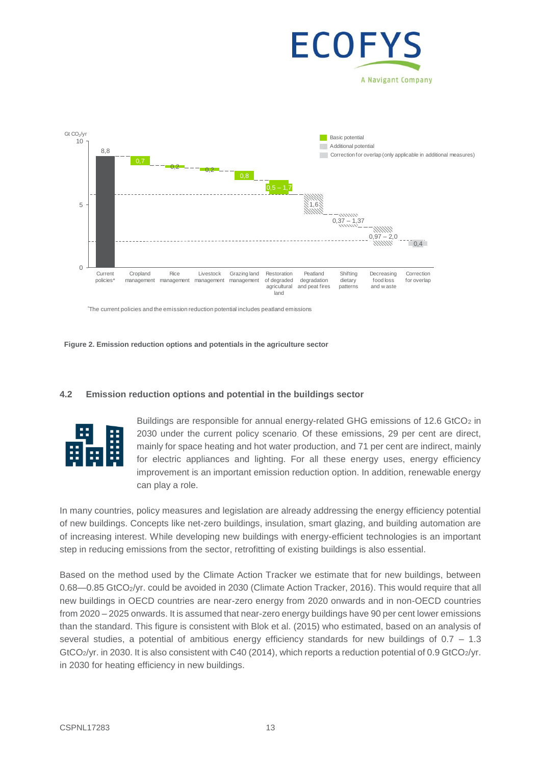



\*The current policies and the emission reduction potential includes peatland emissions

<span id="page-20-0"></span>**Figure 2. Emission reduction options and potentials in the agriculture sector**

#### **4.2 Emission reduction options and potential in the buildings sector**



Buildings are responsible for annual energy-related GHG emissions of 12.6 GtCO<sub>2</sub> in 2030 under the current policy scenario. Of these emissions, 29 per cent are direct, mainly for space heating and hot water production, and 71 per cent are indirect, mainly for electric appliances and lighting. For all these energy uses, energy efficiency improvement is an important emission reduction option. In addition, renewable energy can play a role.

In many countries, policy measures and legislation are already addressing the energy efficiency potential of new buildings. Concepts like net-zero buildings, insulation, smart glazing, and building automation are of increasing interest. While developing new buildings with energy-efficient technologies is an important step in reducing emissions from the sector, retrofitting of existing buildings is also essential.

Based on the method used by the Climate Action Tracker we estimate that for new buildings, between 0.68—0.85 GtCO<sub>2</sub>/yr. could be avoided in 2030 (Climate Action Tracker, 2016). This would require that all new buildings in OECD countries are near-zero energy from 2020 onwards and in non-OECD countries from 2020 – 2025 onwards. It is assumed that near-zero energy buildings have 90 per cent lower emissions than the standard. This figure is consistent with Blok et al. (2015) who estimated, based on an analysis of several studies, a potential of ambitious energy efficiency standards for new buildings of 0.7 – 1.3 GtCO<sub>2</sub>/yr. in 2030. It is also consistent with C40 (2014), which reports a reduction potential of 0.9 GtCO<sub>2</sub>/yr. in 2030 for heating efficiency in new buildings.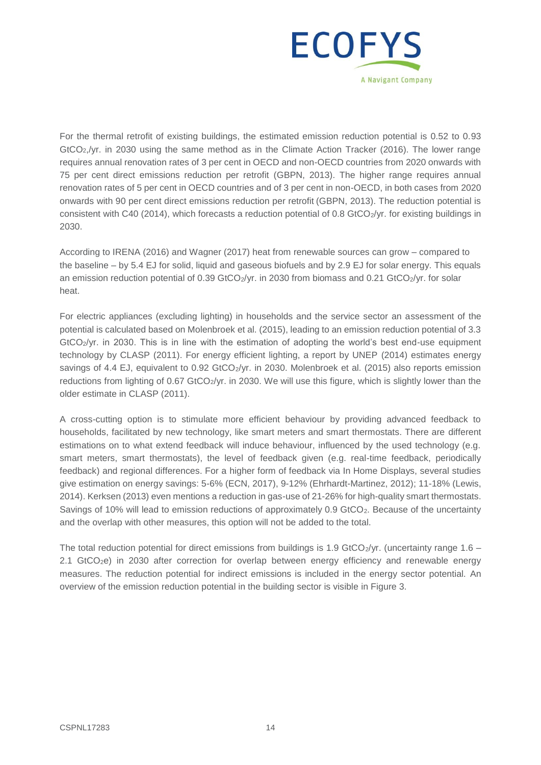

For the thermal retrofit of existing buildings, the estimated emission reduction potential is 0.52 to 0.93 GtCO2,/yr. in 2030 using the same method as in the Climate Action Tracker (2016). The lower range requires annual renovation rates of 3 per cent in OECD and non-OECD countries from 2020 onwards with 75 per cent direct emissions reduction per retrofit (GBPN, 2013). The higher range requires annual renovation rates of 5 per cent in OECD countries and of 3 per cent in non-OECD, in both cases from 2020 onwards with 90 per cent direct emissions reduction per retrofit (GBPN, 2013). The reduction potential is consistent with C40 (2014), which forecasts a reduction potential of 0.8 GtCO<sub>2</sub>/yr. for existing buildings in 2030.

According to IRENA (2016) and Wagner (2017) heat from renewable sources can grow – compared to the baseline – by 5.4 EJ for solid, liquid and gaseous biofuels and by 2.9 EJ for solar energy. This equals an emission reduction potential of 0.39 GtCO<sub>2</sub>/yr. in 2030 from biomass and 0.21 GtCO<sub>2</sub>/yr. for solar heat.

For electric appliances (excluding lighting) in households and the service sector an assessment of the potential is calculated based on Molenbroek et al. (2015), leading to an emission reduction potential of 3.3 GtCO2/yr. in 2030. This is in line with the estimation of adopting the world's best end-use equipment technology by CLASP (2011). For energy efficient lighting, a report by UNEP (2014) estimates energy savings of 4.4 EJ, equivalent to 0.92 GtCO<sub>2</sub>/yr. in 2030. Molenbroek et al. (2015) also reports emission reductions from lighting of 0.67 GtCO<sub>2</sub>/yr. in 2030. We will use this figure, which is slightly lower than the older estimate in CLASP (2011).

A cross-cutting option is to stimulate more efficient behaviour by providing advanced feedback to households, facilitated by new technology, like smart meters and smart thermostats. There are different estimations on to what extend feedback will induce behaviour, influenced by the used technology (e.g. smart meters, smart thermostats), the level of feedback given (e.g. real-time feedback, periodically feedback) and regional differences. For a higher form of feedback via In Home Displays, several studies give estimation on energy savings: 5-6% (ECN, 2017), 9-12% (Ehrhardt-Martinez, 2012); 11-18% (Lewis, 2014). Kerksen (2013) even mentions a reduction in gas-use of 21-26% for high-quality smart thermostats. Savings of 10% will lead to emission reductions of approximately 0.9 GtCO2. Because of the uncertainty and the overlap with other measures, this option will not be added to the total.

The total reduction potential for direct emissions from buildings is 1.9 GtCO $_2$ /yr. (uncertainty range 1.6 – 2.1 GtCO2e) in 2030 after correction for overlap between energy efficiency and renewable energy measures. The reduction potential for indirect emissions is included in the energy sector potential. An overview of the emission reduction potential in the building sector is visible in [Figure 3.](#page-22-0)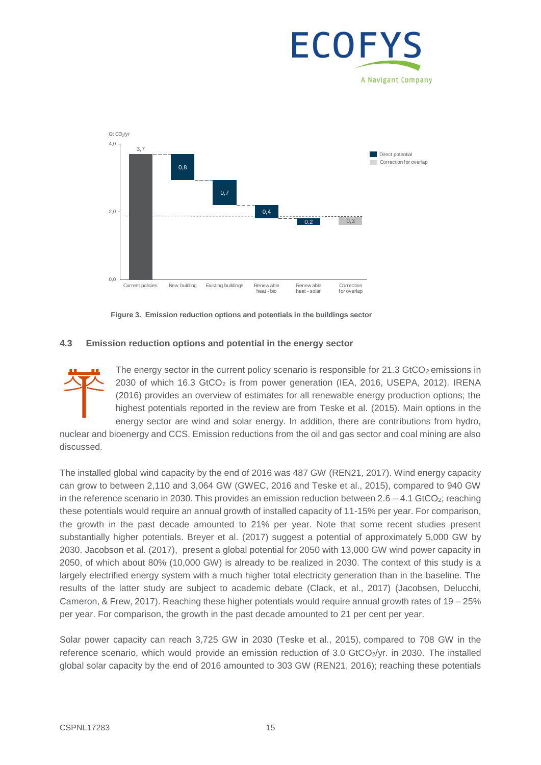# ECOF A Navigant Company



<span id="page-22-0"></span>**Figure 3. Emission reduction options and potentials in the buildings sector**

#### **4.3 Emission reduction options and potential in the energy sector**



The energy sector in the current policy scenario is responsible for  $21.3$  GtCO<sub>2</sub> emissions in 2030 of which 16.3 GtCO<sub>2</sub> is from power generation (IEA, 2016, USEPA, 2012). IRENA (2016) provides an overview of estimates for all renewable energy production options; the highest potentials reported in the review are from Teske et al. (2015). Main options in the energy sector are wind and solar energy. In addition, there are contributions from hydro,

nuclear and bioenergy and CCS. Emission reductions from the oil and gas sector and coal mining are also discussed.

The installed global wind capacity by the end of 2016 was 487 GW (REN21, 2017). Wind energy capacity can grow to between 2,110 and 3,064 GW (GWEC, 2016 and Teske et al., 2015), compared to 940 GW in the reference scenario in 2030. This provides an emission reduction between  $2.6 - 4.1$  GtCO<sub>2</sub>; reaching these potentials would require an annual growth of installed capacity of 11-15% per year. For comparison, the growth in the past decade amounted to 21% per year. Note that some recent studies present substantially higher potentials. Breyer et al. (2017) suggest a potential of approximately 5,000 GW by 2030. Jacobson et al. (2017), present a global potential for 2050 with 13,000 GW wind power capacity in 2050, of which about 80% (10,000 GW) is already to be realized in 2030. The context of this study is a largely electrified energy system with a much higher total electricity generation than in the baseline. The results of the latter study are subject to academic debate (Clack, et al., 2017) (Jacobsen, Delucchi, Cameron, & Frew, 2017). Reaching these higher potentials would require annual growth rates of 19 – 25% per year. For comparison, the growth in the past decade amounted to 21 per cent per year.

Solar power capacity can reach 3,725 GW in 2030 (Teske et al., 2015), compared to 708 GW in the reference scenario, which would provide an emission reduction of 3.0 GtCO<sub>2</sub>/yr. in 2030. The installed global solar capacity by the end of 2016 amounted to 303 GW (REN21, 2016); reaching these potentials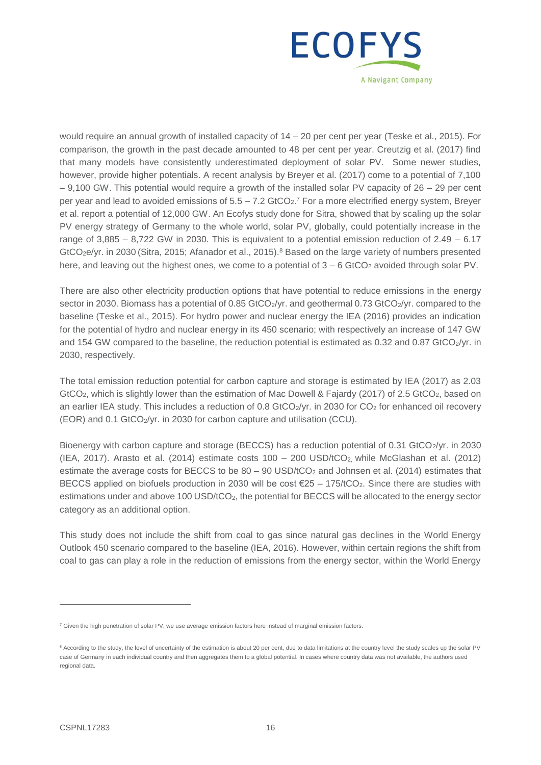

would require an annual growth of installed capacity of 14 – 20 per cent per year (Teske et al., 2015). For comparison, the growth in the past decade amounted to 48 per cent per year. Creutzig et al. (2017) find that many models have consistently underestimated deployment of solar PV. Some newer studies, however, provide higher potentials. A recent analysis by Breyer et al. (2017) come to a potential of 7,100  $-9,100$  GW. This potential would require a growth of the installed solar PV capacity of  $26 - 29$  per cent per year and lead to avoided emissions of  $5.5 - 7.2$  GtCO<sub>2</sub>.<sup>7</sup> For a more electrified energy system, Breyer et al. report a potential of 12,000 GW. An Ecofys study done for Sitra, showed that by scaling up the solar PV energy strategy of Germany to the whole world, solar PV, globally, could potentially increase in the range of  $3,885 - 8,722$  GW in 2030. This is equivalent to a potential emission reduction of  $2.49 - 6.17$ GtCO<sub>2</sub>e/yr. in 2030 (Sitra, 2015; Afanador et al., 2015).<sup>8</sup> Based on the large variety of numbers presented here, and leaving out the highest ones, we come to a potential of  $3 - 6$  GtCO<sub>2</sub> avoided through solar PV.

There are also other electricity production options that have potential to reduce emissions in the energy sector in 2030. Biomass has a potential of 0.85 GtCO<sub>2</sub>/yr. and geothermal 0.73 GtCO<sub>2</sub>/yr. compared to the baseline (Teske et al., 2015). For hydro power and nuclear energy the IEA (2016) provides an indication for the potential of hydro and nuclear energy in its 450 scenario; with respectively an increase of 147 GW and 154 GW compared to the baseline, the reduction potential is estimated as 0.32 and 0.87 GtCO<sub>2</sub>/yr. in 2030, respectively.

The total emission reduction potential for carbon capture and storage is estimated by IEA (2017) as 2.03 GtCO<sub>2</sub>, which is slightly lower than the estimation of Mac Dowell & Fajardy (2017) of 2.5 GtCO<sub>2</sub>, based on an earlier IEA study. This includes a reduction of 0.8 GtCO2/yr. in 2030 for CO<sub>2</sub> for enhanced oil recovery (EOR) and 0.1 GtCO2/yr. in 2030 for carbon capture and utilisation (CCU).

Bioenergy with carbon capture and storage (BECCS) has a reduction potential of 0.31 GtCO<sub>2</sub>/yr. in 2030 (IEA, 2017). Arasto et al. (2014) estimate costs 100 – 200 USD/tCO2, while McGlashan et al. (2012) estimate the average costs for BECCS to be  $80 - 90$  USD/ $tCO<sub>2</sub>$  and Johnsen et al. (2014) estimates that BECCS applied on biofuels production in 2030 will be cost  $\epsilon$ 25 – 175/tCO<sub>2</sub>. Since there are studies with estimations under and above 100 USD/tCO<sub>2</sub>, the potential for BECCS will be allocated to the energy sector category as an additional option.

This study does not include the shift from coal to gas since natural gas declines in the World Energy Outlook 450 scenario compared to the baseline (IEA, 2016). However, within certain regions the shift from coal to gas can play a role in the reduction of emissions from the energy sector, within the World Energy

 $7$  Given the high penetration of solar PV, we use average emission factors here instead of marginal emission factors.

<sup>&</sup>lt;sup>8</sup> According to the study, the level of uncertainty of the estimation is about 20 per cent, due to data limitations at the country level the study scales up the solar PV case of Germany in each individual country and then aggregates them to a global potential. In cases where country data was not available, the authors used regional data.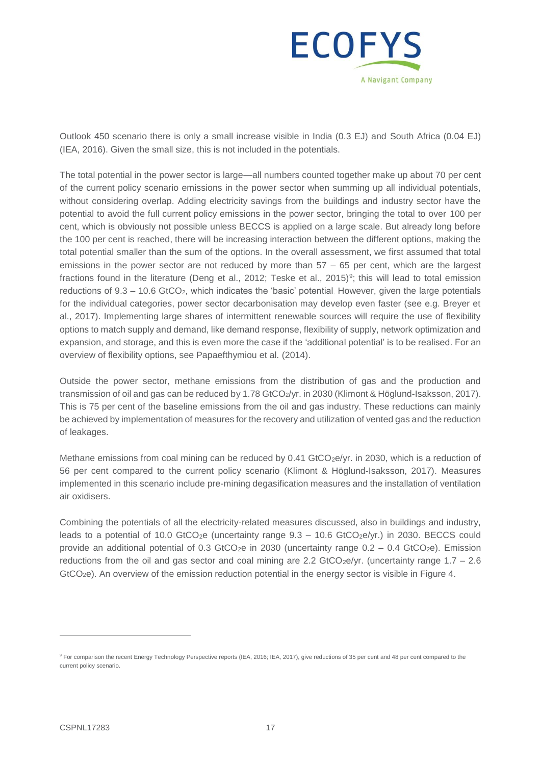

Outlook 450 scenario there is only a small increase visible in India (0.3 EJ) and South Africa (0.04 EJ) (IEA, 2016). Given the small size, this is not included in the potentials.

The total potential in the power sector is large—all numbers counted together make up about 70 per cent of the current policy scenario emissions in the power sector when summing up all individual potentials, without considering overlap. Adding electricity savings from the buildings and industry sector have the potential to avoid the full current policy emissions in the power sector, bringing the total to over 100 per cent, which is obviously not possible unless BECCS is applied on a large scale. But already long before the 100 per cent is reached, there will be increasing interaction between the different options, making the total potential smaller than the sum of the options. In the overall assessment, we first assumed that total emissions in the power sector are not reduced by more than 57 – 65 per cent, which are the largest fractions found in the literature (Deng et al., 2012; Teske et al., 2015)<sup>9</sup>; this will lead to total emission reductions of 9.3 – 10.6 GtCO2, which indicates the 'basic' potential. However, given the large potentials for the individual categories, power sector decarbonisation may develop even faster (see e.g. Breyer et al., 2017). Implementing large shares of intermittent renewable sources will require the use of flexibility options to match supply and demand, like demand response, flexibility of supply, network optimization and expansion, and storage, and this is even more the case if the 'additional potential' is to be realised. For an overview of flexibility options, see Papaefthymiou et al. (2014).

Outside the power sector, methane emissions from the distribution of gas and the production and transmission of oil and gas can be reduced by 1.78 GtCO2/yr. in 2030 (Klimont & Höglund-Isaksson, 2017). This is 75 per cent of the baseline emissions from the oil and gas industry. These reductions can mainly be achieved by implementation of measures for the recovery and utilization of vented gas and the reduction of leakages.

Methane emissions from coal mining can be reduced by 0.41 GtCO<sub>2</sub>e/yr. in 2030, which is a reduction of 56 per cent compared to the current policy scenario (Klimont & Höglund-Isaksson, 2017). Measures implemented in this scenario include pre-mining degasification measures and the installation of ventilation air oxidisers.

Combining the potentials of all the electricity-related measures discussed, also in buildings and industry, leads to a potential of 10.0 GtCO<sub>2</sub>e (uncertainty range  $9.3 - 10.6$  GtCO<sub>2</sub>e/yr.) in 2030. BECCS could provide an additional potential of 0.3 GtCO<sub>2</sub>e in 2030 (uncertainty range  $0.2 - 0.4$  GtCO<sub>2</sub>e). Emission reductions from the oil and gas sector and coal mining are 2.2 GtCO<sub>2</sub>e/yr. (uncertainty range  $1.7 - 2.6$ GtCO2e). An overview of the emission reduction potential in the energy sector is visible in Figure 4.

<sup>&</sup>lt;sup>9</sup> For comparison the recent Energy Technology Perspective reports (IEA, 2016; IEA, 2017), give reductions of 35 per cent and 48 per cent compared to the current policy scenario.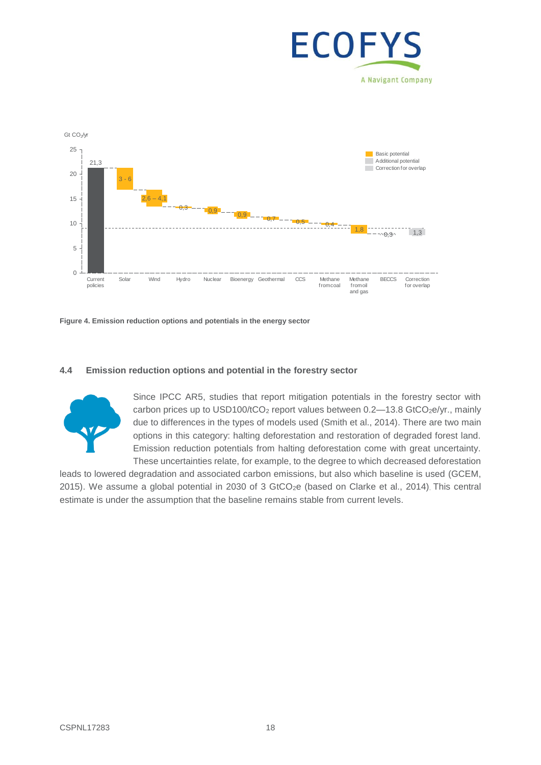



**Figure 4. Emission reduction options and potentials in the energy sector**

#### **4.4 Emission reduction options and potential in the forestry sector**



Since IPCC AR5, studies that report mitigation potentials in the forestry sector with carbon prices up to USD100/tCO<sub>2</sub> report values between  $0.2$ —13.8 GtCO<sub>2</sub>e/yr., mainly due to differences in the types of models used (Smith et al., 2014). There are two main options in this category: halting deforestation and restoration of degraded forest land. Emission reduction potentials from halting deforestation come with great uncertainty. These uncertainties relate, for example, to the degree to which decreased deforestation

leads to lowered degradation and associated carbon emissions, but also which baseline is used (GCEM, 2015). We assume a global potential in 2030 of 3 GtCO<sub>2</sub>e (based on Clarke et al., 2014). This central estimate is under the assumption that the baseline remains stable from current levels.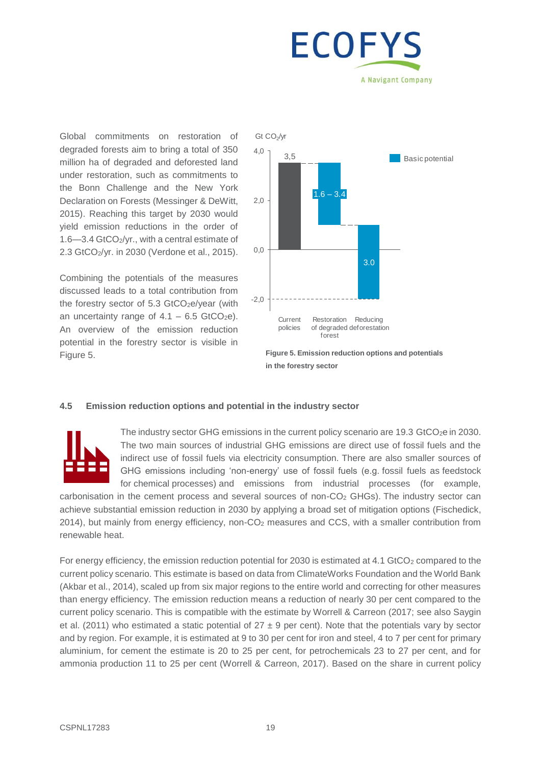# ECOFY A Navigant Company

Global commitments on restoration of degraded forests aim to bring a total of 350 million ha of degraded and deforested land under restoration, such as commitments to the Bonn Challenge and the New York Declaration on Forests (Messinger & DeWitt, 2015). Reaching this target by 2030 would yield emission reductions in the order of 1.6—3.4 GtCO2/yr., with a central estimate of 2.3 GtCO2/yr. in 2030 (Verdone et al., 2015).

Combining the potentials of the measures discussed leads to a total contribution from the forestry sector of 5.3 GtCO<sub>2</sub>e/year (with an uncertainty range of  $4.1 - 6.5$  GtCO<sub>2</sub>e). An overview of the emission reduction potential in the forestry sector is visible in Figure 5.



**Figure 5. Emission reduction options and potentials in the forestry sector**

#### **4.5 Emission reduction options and potential in the industry sector**



The industry sector GHG emissions in the current policy scenario are 19.3 GtCO<sub>2</sub>e in 2030. The two main sources of industrial GHG emissions are direct use of fossil fuels and the indirect use of fossil fuels via electricity consumption. There are also smaller sources of GHG emissions including 'non-energy' use of fossil fuels (e.g. fossil fuels as feedstock for chemical processes) and emissions from industrial processes (for example,

carbonisation in the cement process and several sources of non- $CO<sub>2</sub>$  GHGs). The industry sector can achieve substantial emission reduction in 2030 by applying a broad set of mitigation options (Fischedick, 2014), but mainly from energy efficiency, non-CO<sup>2</sup> measures and CCS, with a smaller contribution from renewable heat.

For energy efficiency, the emission reduction potential for 2030 is estimated at 4.1 GtCO<sub>2</sub> compared to the current policy scenario. This estimate is based on data from ClimateWorks Foundation and the World Bank (Akbar et al., 2014), scaled up from six major regions to the entire world and correcting for other measures than energy efficiency. The emission reduction means a reduction of nearly 30 per cent compared to the current policy scenario. This is compatible with the estimate by Worrell & Carreon (2017; see also Saygin et al. (2011) who estimated a static potential of  $27 \pm 9$  per cent). Note that the potentials vary by sector and by region. For example, it is estimated at 9 to 30 per cent for iron and steel, 4 to 7 per cent for primary aluminium, for cement the estimate is 20 to 25 per cent, for petrochemicals 23 to 27 per cent, and for ammonia production 11 to 25 per cent (Worrell & Carreon, 2017). Based on the share in current policy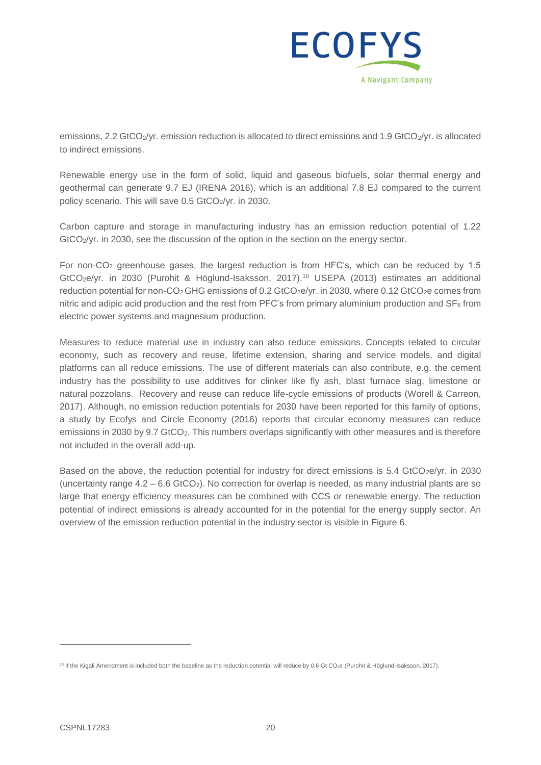

emissions, 2.2 GtCO<sub>2</sub>/yr. emission reduction is allocated to direct emissions and 1.9 GtCO<sub>2</sub>/yr. is allocated to indirect emissions.

Renewable energy use in the form of solid, liquid and gaseous biofuels, solar thermal energy and geothermal can generate 9.7 EJ (IRENA 2016), which is an additional 7.8 EJ compared to the current policy scenario. This will save 0.5 GtCO2/yr. in 2030.

Carbon capture and storage in manufacturing industry has an emission reduction potential of 1.22 GtCO<sub>2</sub>/yr. in 2030, see the discussion of the option in the section on the energy sector.

For non-CO<sub>2</sub> greenhouse gases, the largest reduction is from HFC's, which can be reduced by 1.5 GtCO<sub>2</sub>e/yr. in 2030 (Purohit & Höglund-Isaksson, 2017).<sup>10</sup> USEPA (2013) estimates an additional reduction potential for non-CO<sub>2</sub> GHG emissions of 0.2 GtCO<sub>2</sub>e/yr. in 2030, where 0.12 GtCO<sub>2</sub>e comes from nitric and adipic acid production and the rest from PFC's from primary aluminium production and  $SF_6$  from electric power systems and magnesium production.

Measures to reduce material use in industry can also reduce emissions. Concepts related to circular economy, such as recovery and reuse, lifetime extension, sharing and service models, and digital platforms can all reduce emissions. The use of different materials can also contribute, e.g. the cement industry has the possibility to use additives for clinker like fly ash, blast furnace slag, limestone or natural pozzolans. Recovery and reuse can reduce life-cycle emissions of products (Worell & Carreon, 2017). Although, no emission reduction potentials for 2030 have been reported for this family of options, a study by Ecofys and Circle Economy (2016) reports that circular economy measures can reduce emissions in 2030 by 9.7 GtCO<sub>2</sub>. This numbers overlaps significantly with other measures and is therefore not included in the overall add-up.

Based on the above, the reduction potential for industry for direct emissions is 5.4 GtCO<sub>2</sub>e/yr. in 2030 (uncertainty range  $4.2 - 6.6$  GtCO<sub>2</sub>). No correction for overlap is needed, as many industrial plants are so large that energy efficiency measures can be combined with CCS or renewable energy. The reduction potential of indirect emissions is already accounted for in the potential for the energy supply sector. An overview of the emission reduction potential in the industry sector is visible in Figure 6.

 $\overline{a}$ 

<sup>10</sup> If the Kigali Amendment is included both the baseline as the reduction potential will reduce by 0.6 Gt CO2e (Purohit & Höglund-Isaksson, 2017).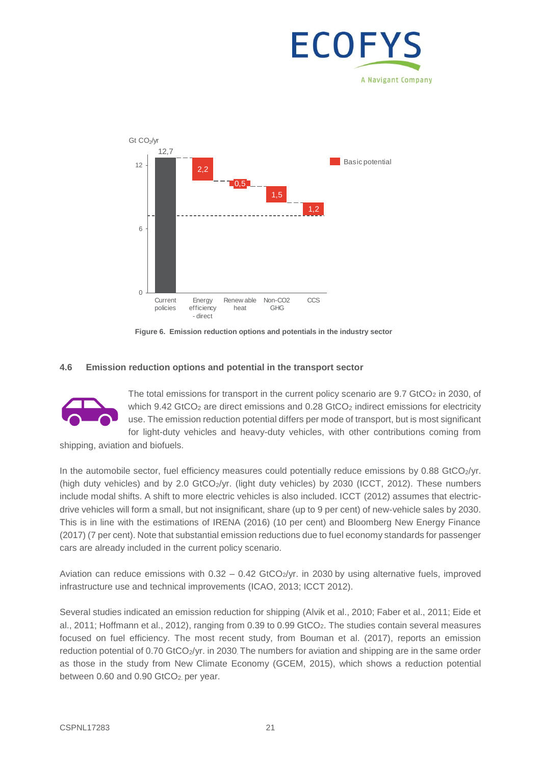



**Figure 6. Emission reduction options and potentials in the industry sector**

#### **4.6 Emission reduction options and potential in the transport sector**



The total emissions for transport in the current policy scenario are  $9.7$  GtCO<sub>2</sub> in 2030, of which  $9.42$  GtCO<sub>2</sub> are direct emissions and  $0.28$  GtCO<sub>2</sub> indirect emissions for electricity use. The emission reduction potential differs per mode of transport, but is most significant for light-duty vehicles and heavy-duty vehicles, with other contributions coming from

shipping, aviation and biofuels.

In the automobile sector, fuel efficiency measures could potentially reduce emissions by 0.88 GtCO2/yr. (high duty vehicles) and by 2.0 GtCO2/yr. (light duty vehicles) by 2030 (ICCT, 2012). These numbers include modal shifts. A shift to more electric vehicles is also included. ICCT (2012) assumes that electricdrive vehicles will form a small, but not insignificant, share (up to 9 per cent) of new-vehicle sales by 2030. This is in line with the estimations of IRENA (2016) (10 per cent) and Bloomberg New Energy Finance (2017) (7 per cent). Note that substantial emission reductions due to fuel economy standards for passenger cars are already included in the current policy scenario.

Aviation can reduce emissions with  $0.32 - 0.42$  GtCO<sub>2</sub>/yr. in 2030 by using alternative fuels, improved infrastructure use and technical improvements (ICAO, 2013; ICCT 2012).

Several studies indicated an emission reduction for shipping (Alvik et al., 2010; Faber et al., 2011; Eide et al., 2011; Hoffmann et al., 2012), ranging from 0.39 to 0.99 GtCO2. The studies contain several measures focused on fuel efficiency. The most recent study, from Bouman et al. (2017), reports an emission reduction potential of 0.70 GtCO<sub>2</sub>/yr. in 2030. The numbers for aviation and shipping are in the same order as those in the study from New Climate Economy (GCEM, 2015), which shows a reduction potential between 0.60 and 0.90 GtCO<sub>2</sub> per year.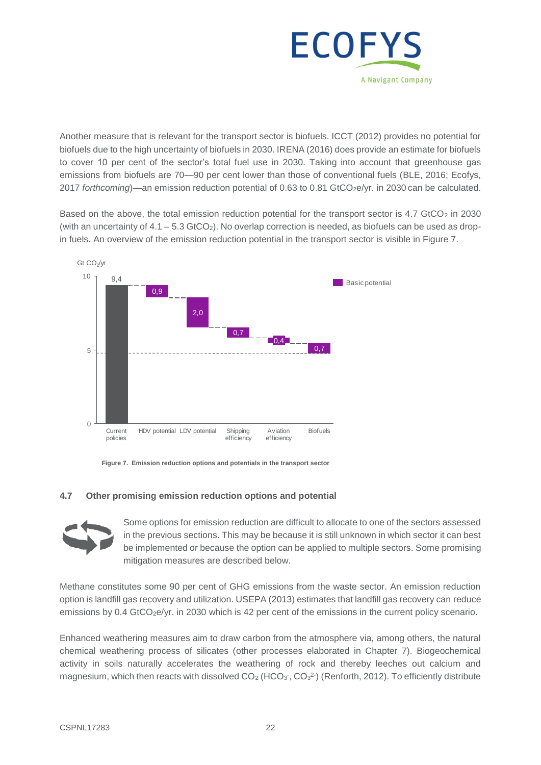

Another measure that is relevant for the transport sector is biofuels. ICCT (2012) provides no potential for biofuels due to the high uncertainty of biofuels in 2030. IRENA (2016) does provide an estimate for biofuels to cover 10 per cent of the sector's total fuel use in 2030. Taking into account that greenhouse gas emissions from biofuels are 70—90 per cent lower than those of conventional fuels (BLE, 2016; Ecofys, 2017 *forthcoming*)—an emission reduction potential of 0.63 to 0.81 GtCO<sub>2</sub>e/yr. in 2030 can be calculated.

Based on the above, the total emission reduction potential for the transport sector is  $4.7$  GtCO<sub>2</sub> in 2030 (with an uncertainty of  $4.1 - 5.3$  GtCO<sub>2</sub>). No overlap correction is needed, as biofuels can be used as dropin fuels. An overview of the emission reduction potential in the transport sector is visible in Figure 7.



**Figure 7. Emission reduction options and potentials in the transport sector**

#### **4.7 Other promising emission reduction options and potential**



Some options for emission reduction are difficult to allocate to one of the sectors assessed in the previous sections. This may be because it is still unknown in which sector it can best be implemented or because the option can be applied to multiple sectors. Some promising mitigation measures are described below.

Methane constitutes some 90 per cent of GHG emissions from the waste sector. An emission reduction option is landfill gas recovery and utilization. USEPA (2013) estimates that landfill gas recovery can reduce emissions by 0.4 GtCO<sub>2</sub>e/yr. in 2030 which is 42 per cent of the emissions in the current policy scenario.

Enhanced weathering measures aim to draw carbon from the atmosphere via, among others, the natural chemical weathering process of silicates (other processes elaborated in Chapter 7). Biogeochemical activity in soils naturally accelerates the weathering of rock and thereby leeches out calcium and magnesium, which then reacts with dissolved  $CO<sub>2</sub>$  (HCO<sub>3</sub><sup>-</sup>, CO<sub>3</sub><sup>2</sup>) (Renforth, 2012). To efficiently distribute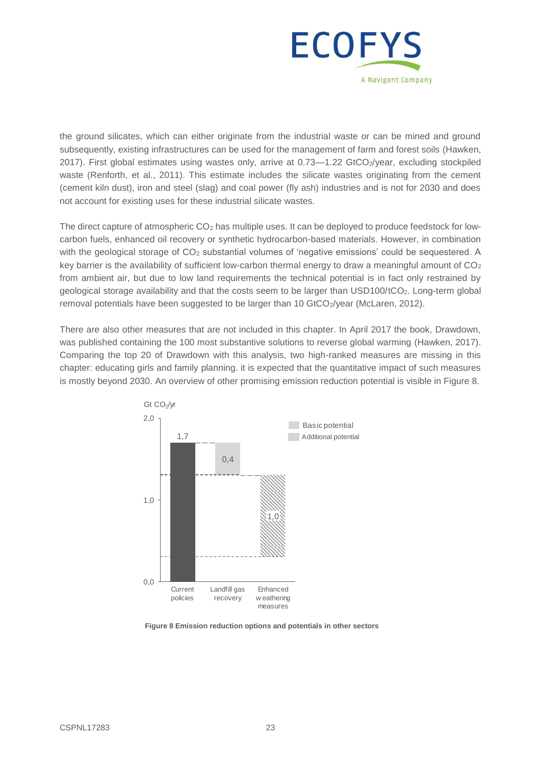

the ground silicates, which can either originate from the industrial waste or can be mined and ground subsequently, existing infrastructures can be used for the management of farm and forest soils (Hawken, 2017). First global estimates using wastes only, arrive at 0.73-1.22 GtCO2/year, excluding stockpiled waste (Renforth, et al., 2011). This estimate includes the silicate wastes originating from the cement (cement kiln dust), iron and steel (slag) and coal power (fly ash) industries and is not for 2030 and does not account for existing uses for these industrial silicate wastes.

The direct capture of atmospheric CO<sub>2</sub> has multiple uses. It can be deployed to produce feedstock for lowcarbon fuels, enhanced oil recovery or synthetic hydrocarbon-based materials. However, in combination with the geological storage of CO<sub>2</sub> substantial volumes of 'negative emissions' could be seguestered. A key barrier is the availability of sufficient low-carbon thermal energy to draw a meaningful amount of  $CO<sub>2</sub>$ from ambient air, but due to low land requirements the technical potential is in fact only restrained by geological storage availability and that the costs seem to be larger than USD100/tCO2. Long-term global removal potentials have been suggested to be larger than 10 GtCO<sub>2</sub>/year (McLaren, 2012).

There are also other measures that are not included in this chapter. In April 2017 the book, Drawdown, was published containing the 100 most substantive solutions to reverse global warming (Hawken, 2017). Comparing the top 20 of Drawdown with this analysis, two high-ranked measures are missing in this chapter: educating girls and family planning. it is expected that the quantitative impact of such measures is mostly beyond 2030. An overview of other promising emission reduction potential is visible in Figure 8.



**Figure 8 Emission reduction options and potentials in other sectors**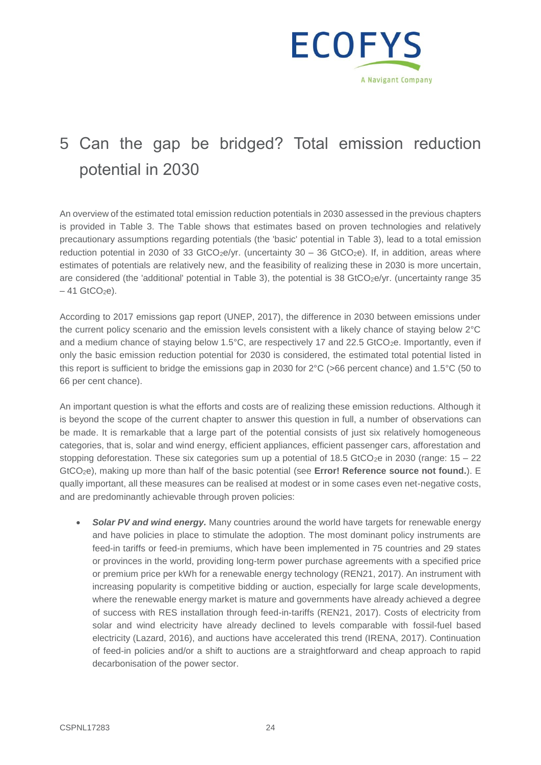

# 5 Can the gap be bridged? Total emission reduction potential in 2030

An overview of the estimated total emission reduction potentials in 2030 assessed in the previous chapters is provided in [Table 3.](#page-34-0) The Table shows that estimates based on proven technologies and relatively precautionary assumptions regarding potentials (the 'basic' potential in [Table 3\)](#page-34-0), lead to a total emission reduction potential in 2030 of 33 GtCO<sub>2</sub>e/yr. (uncertainty  $30 - 36$  GtCO<sub>2</sub>e). If, in addition, areas where estimates of potentials are relatively new, and the feasibility of realizing these in 2030 is more uncertain, are considered (the 'additional' potential in [Table 3\)](#page-34-0), the potential is 38 GtCO<sub>2</sub>e/yr. (uncertainty range 35  $-41$  GtCO<sub>2</sub>e).

According to 2017 emissions gap report (UNEP, 2017), the difference in 2030 between emissions under the current policy scenario and the emission levels consistent with a likely chance of staying below 2°C and a medium chance of staying below 1.5°C, are respectively 17 and 22.5 GtCO<sub>2</sub>e. Importantly, even if only the basic emission reduction potential for 2030 is considered, the estimated total potential listed in this report is sufficient to bridge the emissions gap in 2030 for 2°C (>66 percent chance) and 1.5°C (50 to 66 per cent chance).

An important question is what the efforts and costs are of realizing these emission reductions. Although it is beyond the scope of the current chapter to answer this question in full, a number of observations can be made. It is remarkable that a large part of the potential consists of just six relatively homogeneous categories, that is, solar and wind energy, efficient appliances, efficient passenger cars, afforestation and stopping deforestation. These six categories sum up a potential of 18.5 GtCO<sub>2</sub>e in 2030 (range:  $15 - 22$ ) GtCO2e), making up more than half of the basic potential (see **Error! Reference source not found.**). E qually important, all these measures can be realised at modest or in some cases even net-negative costs, and are predominantly achievable through proven policies:

**Solar PV and wind energy.** Many countries around the world have targets for renewable energy and have policies in place to stimulate the adoption. The most dominant policy instruments are feed-in tariffs or feed-in premiums, which have been implemented in 75 countries and 29 states or provinces in the world, providing long-term power purchase agreements with a specified price or premium price per kWh for a renewable energy technology (REN21, 2017). An instrument with increasing popularity is competitive bidding or auction, especially for large scale developments, where the renewable energy market is mature and governments have already achieved a degree of success with RES installation through feed-in-tariffs (REN21, 2017). Costs of electricity from solar and wind electricity have already declined to levels comparable with fossil-fuel based electricity (Lazard, 2016), and auctions have accelerated this trend (IRENA, 2017). Continuation of feed-in policies and/or a shift to auctions are a straightforward and cheap approach to rapid decarbonisation of the power sector.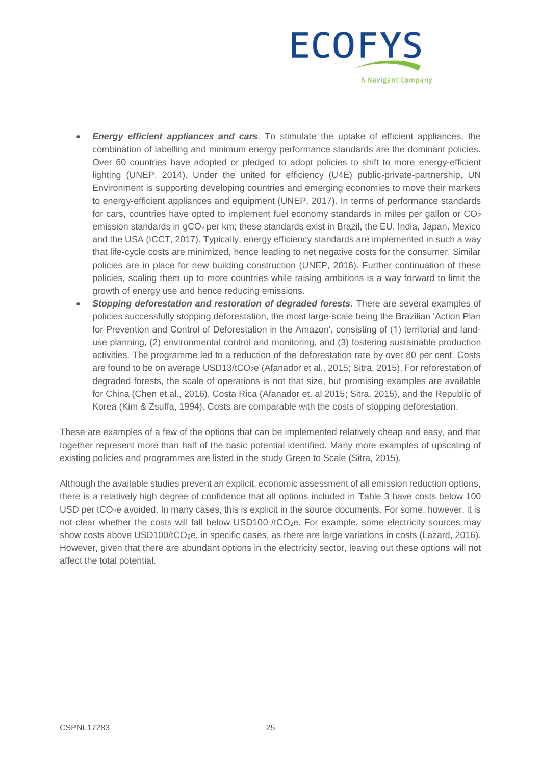

- *Energy efficient appliances and cars.* To stimulate the uptake of efficient appliances, the combination of labelling and minimum energy performance standards are the dominant policies. Over 60 countries have adopted or pledged to adopt policies to shift to more energy-efficient lighting (UNEP, 2014). Under the united for efficiency (U4E) public-private-partnership, UN Environment is supporting developing countries and emerging economies to move their markets to energy-efficient appliances and equipment (UNEP, 2017). In terms of performance standards for cars, countries have opted to implement fuel economy standards in miles per gallon or  $CO<sub>2</sub>$ emission standards in gCO<sub>2</sub> per km; these standards exist in Brazil, the EU, India, Japan, Mexico and the USA (ICCT, 2017). Typically, energy efficiency standards are implemented in such a way that life-cycle costs are minimized, hence leading to net negative costs for the consumer. Similar policies are in place for new building construction (UNEP, 2016). Further continuation of these policies, scaling them up to more countries while raising ambitions is a way forward to limit the growth of energy use and hence reducing emissions.
- *Stopping deforestation and restoration of degraded forests.* There are several examples of policies successfully stopping deforestation, the most large-scale being the Brazilian 'Action Plan for Prevention and Control of Deforestation in the Amazon', consisting of (1) territorial and landuse planning, (2) environmental control and monitoring, and (3) fostering sustainable production activities. The programme led to a reduction of the deforestation rate by over 80 per cent. Costs are found to be on average USD13/tCO<sub>2</sub>e (Afanador et al., 2015; Sitra, 2015). For reforestation of degraded forests, the scale of operations is not that size, but promising examples are available for China (Chen et al., 2016), Costa Rica (Afanador et. al 2015; Sitra, 2015), and the Republic of Korea (Kim & Zsuffa, 1994). Costs are comparable with the costs of stopping deforestation.

These are examples of a few of the options that can be implemented relatively cheap and easy, and that together represent more than half of the basic potential identified. Many more examples of upscaling of existing policies and programmes are listed in the study Green to Scale (Sitra, 2015).

Although the available studies prevent an explicit, economic assessment of all emission reduction options, there is a relatively high degree of confidence that all options included in [Table 3](#page-34-0) have costs below 100 USD per tCO<sub>2</sub>e avoided. In many cases, this is explicit in the source documents. For some, however, it is not clear whether the costs will fall below USD100 /tCO<sub>2</sub>e. For example, some electricity sources may show costs above USD100/tCO<sub>2</sub>e, in specific cases, as there are large variations in costs (Lazard, 2016). However, given that there are abundant options in the electricity sector, leaving out these options will not affect the total potential.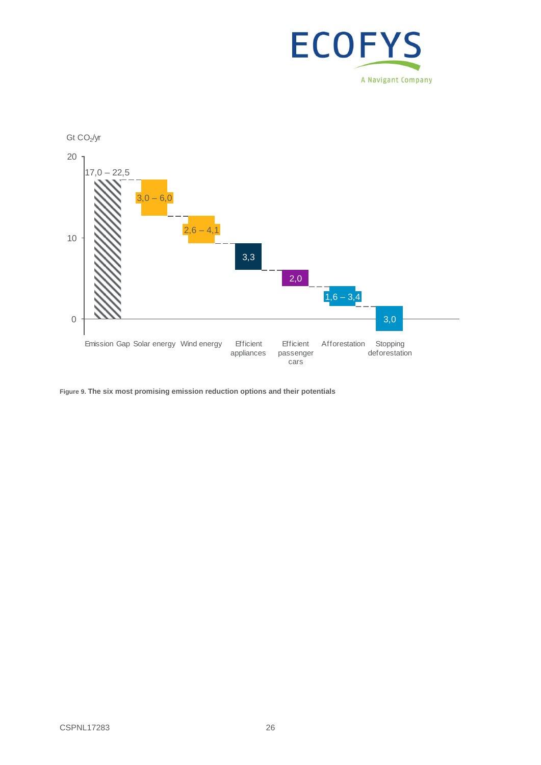



**Figure 9. The six most promising emission reduction options and their potentials**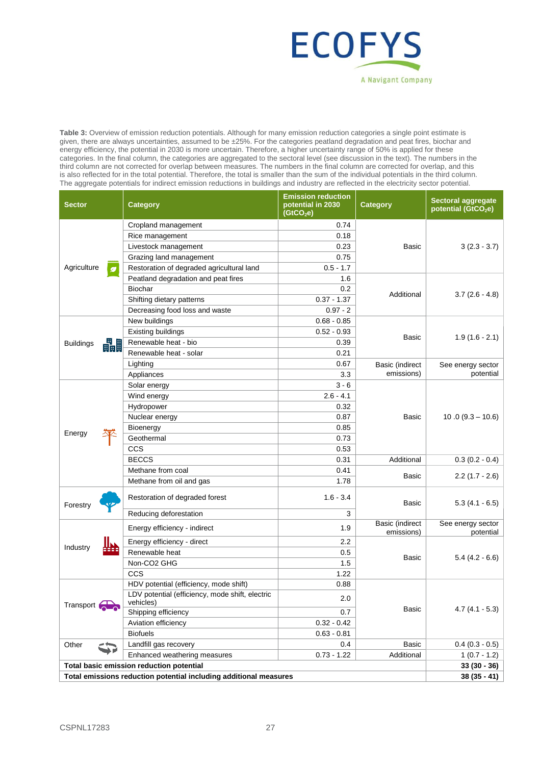

<span id="page-34-0"></span>**Table 3:** Overview of emission reduction potentials. Although for many emission reduction categories a single point estimate is given, there are always uncertainties, assumed to be ±25%. For the categories peatland degradation and peat fires, biochar and energy efficiency, the potential in 2030 is more uncertain. Therefore, a higher uncertainty range of 50% is applied for these categories. In the final column, the categories are aggregated to the sectoral level (see discussion in the text). The numbers in the third column are not corrected for overlap between measures. The numbers in the final column are corrected for overlap, and this is also reflected for in the total potential. Therefore, the total is smaller than the sum of the individual potentials in the third column. The aggregate potentials for indirect emission reductions in buildings and industry are reflected in the electricity sector potential.

| <b>Sector</b>                            | <b>Category</b>                                                   | <b>Emission reduction</b><br>potential in 2030<br>(GtCO <sub>2</sub> e) | <b>Category</b>               | <b>Sectoral aggregate</b><br>potential (GtCO <sub>2</sub> e) |
|------------------------------------------|-------------------------------------------------------------------|-------------------------------------------------------------------------|-------------------------------|--------------------------------------------------------------|
|                                          | Cropland management                                               | 0.74                                                                    | Basic                         |                                                              |
|                                          | Rice management                                                   | 0.18                                                                    |                               |                                                              |
|                                          | Livestock management                                              | 0.23                                                                    |                               | $3(2.3 - 3.7)$                                               |
|                                          | Grazing land management                                           | 0.75                                                                    |                               |                                                              |
| Agriculture<br>Ø                         | Restoration of degraded agricultural land                         | $0.5 - 1.7$                                                             |                               |                                                              |
|                                          | Peatland degradation and peat fires                               | 1.6                                                                     |                               | $3.7(2.6 - 4.8)$                                             |
|                                          | <b>Biochar</b>                                                    | 0.2                                                                     | Additional                    |                                                              |
|                                          | Shifting dietary patterns                                         | $0.37 - 1.37$                                                           |                               |                                                              |
|                                          | Decreasing food loss and waste                                    | $0.97 - 2$                                                              |                               |                                                              |
|                                          | New buildings                                                     | $0.68 - 0.85$                                                           |                               |                                                              |
|                                          | <b>Existing buildings</b>                                         | $0.52 - 0.93$                                                           | Basic                         | $1.9(1.6 - 2.1)$                                             |
| 畾<br><b>Buildings</b>                    | Renewable heat - bio                                              | 0.39                                                                    |                               |                                                              |
|                                          | Renewable heat - solar                                            | 0.21                                                                    |                               |                                                              |
|                                          | Lighting                                                          | 0.67                                                                    | Basic (indirect               | See energy sector                                            |
|                                          | Appliances                                                        | 3.3                                                                     | emissions)                    | potential                                                    |
|                                          | Solar energy                                                      | $3 - 6$                                                                 |                               |                                                              |
|                                          | Wind energy                                                       | $2.6 - 4.1$                                                             |                               |                                                              |
|                                          | Hydropower                                                        | 0.32                                                                    |                               | $10.0(9.3 - 10.6)$                                           |
|                                          | Nuclear energy                                                    | 0.87                                                                    | Basic                         |                                                              |
|                                          | Bioenergy                                                         | 0.85                                                                    |                               |                                                              |
| Energy                                   | Geothermal                                                        | 0.73                                                                    |                               |                                                              |
|                                          | CCS                                                               | 0.53                                                                    |                               |                                                              |
|                                          | <b>BECCS</b>                                                      | 0.31                                                                    | Additional                    | $0.3(0.2 - 0.4)$                                             |
|                                          | Methane from coal                                                 | 0.41                                                                    |                               |                                                              |
|                                          | Methane from oil and gas                                          | 1.78                                                                    | Basic                         | $2.2(1.7 - 2.6)$                                             |
| Forestry                                 | Restoration of degraded forest                                    | $1.6 - 3.4$                                                             | Basic                         | $5.3(4.1 - 6.5)$                                             |
|                                          | Reducing deforestation                                            | 3                                                                       |                               |                                                              |
|                                          | Energy efficiency - indirect                                      | 1.9                                                                     | Basic (indirect<br>emissions) | See energy sector<br>potential                               |
| Industry                                 | Energy efficiency - direct                                        | 2.2                                                                     |                               | $5.4(4.2 - 6.6)$                                             |
|                                          | Renewable heat                                                    | 0.5                                                                     | Basic                         |                                                              |
|                                          | Non-CO2 GHG                                                       | 1.5                                                                     |                               |                                                              |
|                                          | CCS                                                               | 1.22                                                                    |                               |                                                              |
|                                          | HDV potential (efficiency, mode shift)                            | 0.88                                                                    |                               |                                                              |
| $\Rightarrow$<br>Transport (             | LDV potential (efficiency, mode shift, electric<br>vehicles)      | 2.0                                                                     | Basic                         |                                                              |
|                                          | Shipping efficiency                                               | 0.7                                                                     |                               | $4.7(4.1 - 5.3)$                                             |
|                                          | Aviation efficiency                                               | $0.32 - 0.42$                                                           |                               |                                                              |
|                                          | <b>Biofuels</b>                                                   | $0.63 - 0.81$                                                           |                               |                                                              |
| Other                                    | Landfill gas recovery                                             | 0.4                                                                     | Basic                         | $0.4(0.3 - 0.5)$                                             |
|                                          | Enhanced weathering measures                                      | $0.73 - 1.22$                                                           | Additional                    | $1(0.7 - 1.2)$                                               |
| Total basic emission reduction potential |                                                                   |                                                                         |                               | $33(30 - 36)$                                                |
|                                          | Total emissions reduction potential including additional measures |                                                                         |                               | $38(35 - 41)$                                                |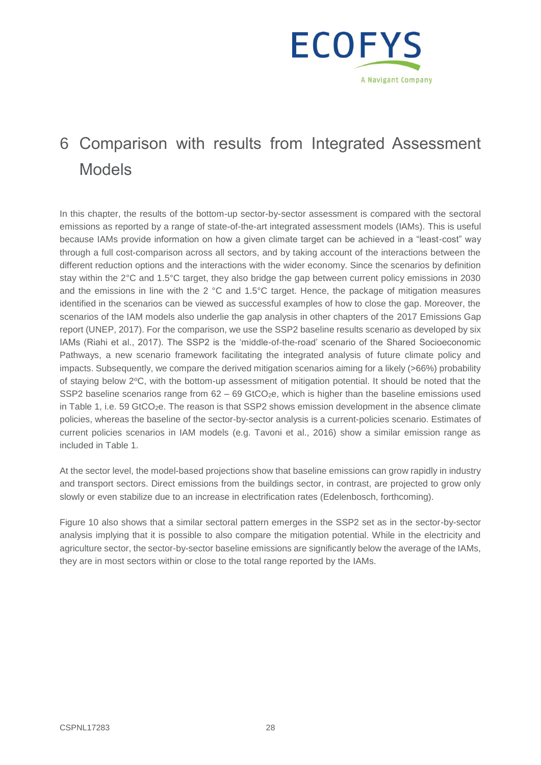

## 6 Comparison with results from Integrated Assessment Models

In this chapter, the results of the bottom-up sector-by-sector assessment is compared with the sectoral emissions as reported by a range of state-of-the-art integrated assessment models (IAMs). This is useful because IAMs provide information on how a given climate target can be achieved in a "least-cost" way through a full cost-comparison across all sectors, and by taking account of the interactions between the different reduction options and the interactions with the wider economy. Since the scenarios by definition stay within the 2°C and 1.5°C target, they also bridge the gap between current policy emissions in 2030 and the emissions in line with the 2 °C and 1.5°C target. Hence, the package of mitigation measures identified in the scenarios can be viewed as successful examples of how to close the gap. Moreover, the scenarios of the IAM models also underlie the gap analysis in other chapters of the 2017 Emissions Gap report (UNEP, 2017). For the comparison, we use the SSP2 baseline results scenario as developed by six IAMs (Riahi et al., 2017). The SSP2 is the 'middle-of-the-road' scenario of the Shared Socioeconomic Pathways, a new scenario framework facilitating the integrated analysis of future climate policy and impacts. Subsequently, we compare the derived mitigation scenarios aiming for a likely (>66%) probability of staying below 2°C, with the bottom-up assessment of mitigation potential. It should be noted that the SSP2 baseline scenarios range from  $62 - 69$  GtCO<sub>2</sub>e, which is higher than the baseline emissions used in [Table 1,](#page-6-0) i.e. 59 GtCO<sub>2</sub>e. The reason is that SSP2 shows emission development in the absence climate policies, whereas the baseline of the sector-by-sector analysis is a current-policies scenario. Estimates of current policies scenarios in IAM models (e.g. Tavoni et al., 2016) show a similar emission range as included in [Table 1.](#page-6-0)

At the sector level, the model-based projections show that baseline emissions can grow rapidly in industry and transport sectors. Direct emissions from the buildings sector, in contrast, are projected to grow only slowly or even stabilize due to an increase in electrification rates (Edelenbosch, forthcoming).

[Figure 10](#page-36-0) also shows that a similar sectoral pattern emerges in the SSP2 set as in the sector-by-sector analysis implying that it is possible to also compare the mitigation potential. While in the electricity and agriculture sector, the sector-by-sector baseline emissions are significantly below the average of the IAMs, they are in most sectors within or close to the total range reported by the IAMs.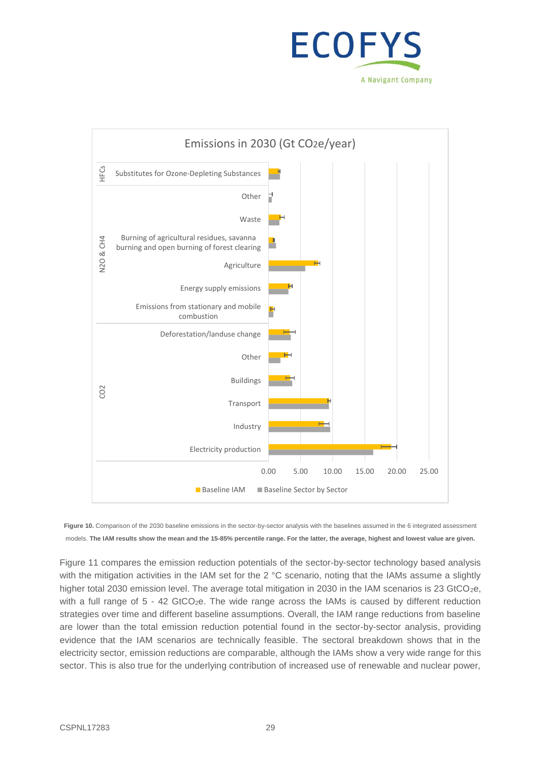



<span id="page-36-0"></span>Figure 10. Comparison of the 2030 baseline emissions in the sector-by-sector analysis with the baselines assumed in the 6 integrated assessment models. **The IAM results show the mean and the 15-85% percentile range. For the latter, the average, highest and lowest value are given.**

[Figure 11](#page-38-0) compares the emission reduction potentials of the sector-by-sector technology based analysis with the mitigation activities in the IAM set for the 2 °C scenario, noting that the IAMs assume a slightly higher total 2030 emission level. The average total mitigation in 2030 in the IAM scenarios is 23 GtCO<sub>2</sub>e, with a full range of  $5 - 42$  GtCO<sub>2</sub>e. The wide range across the IAMs is caused by different reduction strategies over time and different baseline assumptions. Overall, the IAM range reductions from baseline are lower than the total emission reduction potential found in the sector-by-sector analysis, providing evidence that the IAM scenarios are technically feasible. The sectoral breakdown shows that in the electricity sector, emission reductions are comparable, although the IAMs show a very wide range for this sector. This is also true for the underlying contribution of increased use of renewable and nuclear power,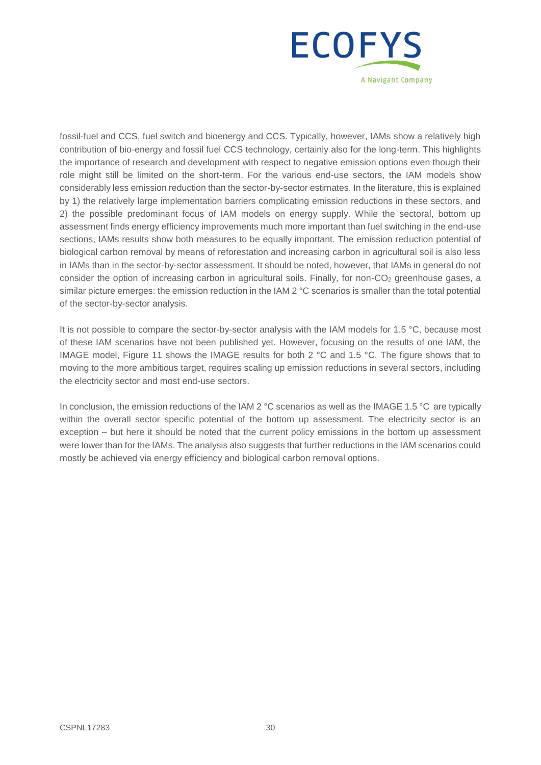

fossil-fuel and CCS, fuel switch and bioenergy and CCS. Typically, however, IAMs show a relatively high contribution of bio-energy and fossil fuel CCS technology, certainly also for the long-term. This highlights the importance of research and development with respect to negative emission options even though their role might still be limited on the short-term. For the various end-use sectors, the IAM models show considerably less emission reduction than the sector-by-sector estimates. In the literature, this is explained by 1) the relatively large implementation barriers complicating emission reductions in these sectors, and 2) the possible predominant focus of IAM models on energy supply. While the sectoral, bottom up assessment finds energy efficiency improvements much more important than fuel switching in the end-use sections, IAMs results show both measures to be equally important. The emission reduction potential of biological carbon removal by means of reforestation and increasing carbon in agricultural soil is also less in IAMs than in the sector-by-sector assessment. It should be noted, however, that IAMs in general do not consider the option of increasing carbon in agricultural soils. Finally, for non- $CO<sub>2</sub>$  greenhouse gases, a similar picture emerges: the emission reduction in the IAM 2 °C scenarios is smaller than the total potential of the sector-by-sector analysis.

It is not possible to compare the sector-by-sector analysis with the IAM models for 1.5 °C, because most of these IAM scenarios have not been published yet. However, focusing on the results of one IAM, the IMAGE model, [Figure 11](#page-38-0) shows the IMAGE results for both 2 °C and 1.5 °C. The figure shows that to moving to the more ambitious target, requires scaling up emission reductions in several sectors, including the electricity sector and most end-use sectors.

In conclusion, the emission reductions of the IAM 2 °C scenarios as well as the IMAGE 1.5 °C are typically within the overall sector specific potential of the bottom up assessment. The electricity sector is an exception – but here it should be noted that the current policy emissions in the bottom up assessment were lower than for the IAMs. The analysis also suggests that further reductions in the IAM scenarios could mostly be achieved via energy efficiency and biological carbon removal options.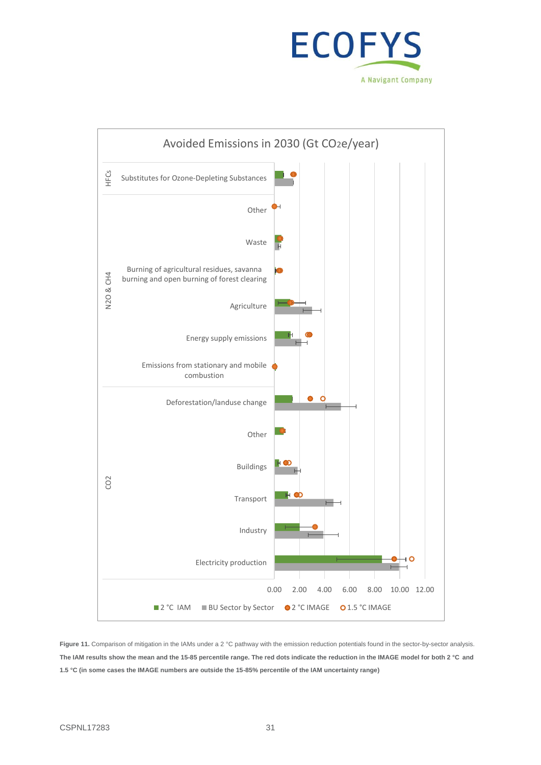



<span id="page-38-0"></span>Figure 11. Comparison of mitigation in the IAMs under a 2 °C pathway with the emission reduction potentials found in the sector-by-sector analysis. **The IAM results show the mean and the 15-85 percentile range. The red dots indicate the reduction in the IMAGE model for both 2 °C and 1.5 °C (in some cases the IMAGE numbers are outside the 15-85% percentile of the IAM uncertainty range)**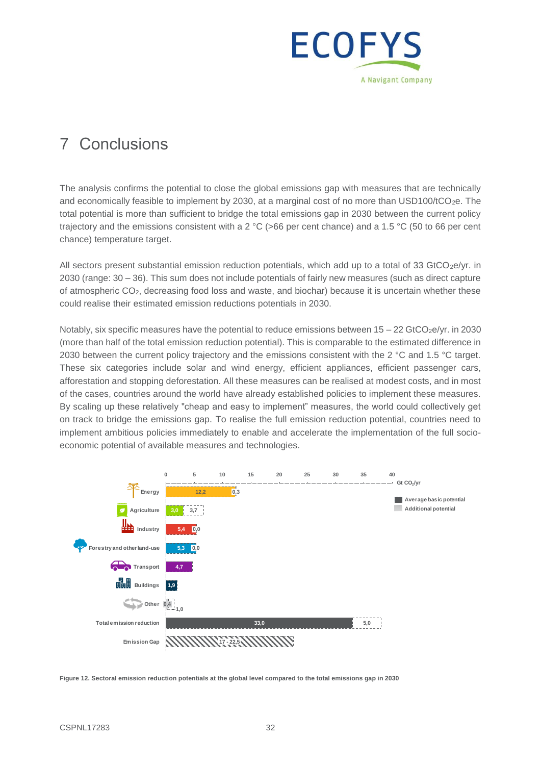

## 7 Conclusions

The analysis confirms the potential to close the global emissions gap with measures that are technically and economically feasible to implement by 2030, at a marginal cost of no more than USD100/tCO<sub>2</sub>e. The total potential is more than sufficient to bridge the total emissions gap in 2030 between the current policy trajectory and the emissions consistent with a 2 °C (>66 per cent chance) and a 1.5 °C (50 to 66 per cent chance) temperature target.

All sectors present substantial emission reduction potentials, which add up to a total of 33 GtCO<sub>2</sub>e/yr. in 2030 (range: 30 – 36). This sum does not include potentials of fairly new measures (such as direct capture of atmospheric CO2, decreasing food loss and waste, and biochar) because it is uncertain whether these could realise their estimated emission reductions potentials in 2030.

Notably, six specific measures have the potential to reduce emissions between  $15 - 22$  GtCO<sub>2</sub>e/yr. in 2030 (more than half of the total emission reduction potential). This is comparable to the estimated difference in 2030 between the current policy trajectory and the emissions consistent with the 2 °C and 1.5 °C target. These six categories include solar and wind energy, efficient appliances, efficient passenger cars, afforestation and stopping deforestation. All these measures can be realised at modest costs, and in most of the cases, countries around the world have already established policies to implement these measures. By scaling up these relatively "cheap and easy to implement" measures, the world could collectively get on track to bridge the emissions gap. To realise the full emission reduction potential, countries need to implement ambitious policies immediately to enable and accelerate the implementation of the full socioeconomic potential of available measures and technologies.



**Figure 12. Sectoral emission reduction potentials at the global level compared to the total emissions gap in 2030**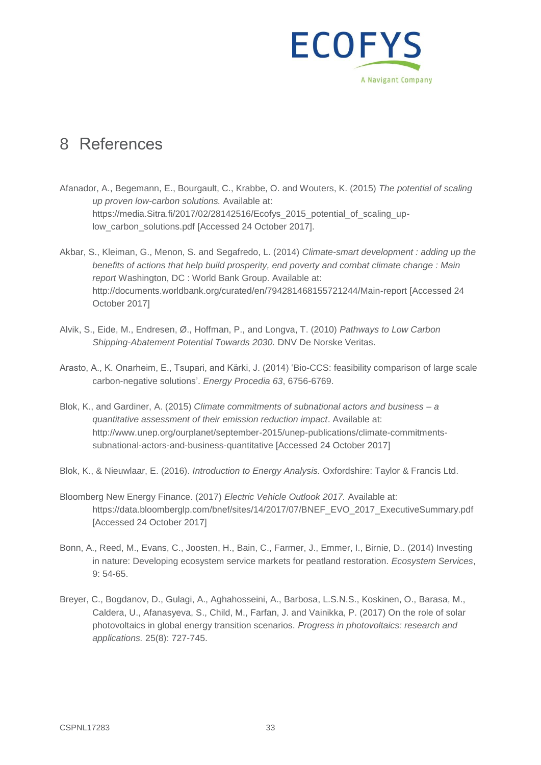

### 8 References

- Afanador, A., Begemann, E., Bourgault, C., Krabbe, O. and Wouters, K. (2015) *The potential of scaling up proven low-carbon solutions.* Available at: https://media.Sitra.fi/2017/02/28142516/Ecofys\_2015\_potential\_of\_scaling\_uplow\_carbon\_solutions.pdf [Accessed 24 October 2017].
- Akbar, S., Kleiman, G., Menon, S. and Segafredo, L. (2014) *Climate-smart development : adding up the benefits of actions that help build prosperity, end poverty and combat climate change : Main report* Washington, DC : World Bank Group. Available at: http://documents.worldbank.org/curated/en/794281468155721244/Main-report [Accessed 24 October 2017]
- Alvik, S., Eide, M., Endresen, Ø., Hoffman, P., and Longva, T. (2010) *Pathways to Low Carbon Shipping-Abatement Potential Towards 2030.* DNV De Norske Veritas.
- Arasto, A., K. Onarheim, E., Tsupari, and Kärki, J. (2014) 'Bio-CCS: feasibility comparison of large scale carbon-negative solutions'. *Energy Procedia 63*, 6756-6769.
- Blok, K., and Gardiner, A. (2015) *Climate commitments of subnational actors and business – a quantitative assessment of their emission reduction impact*. Available at: http://www.unep.org/ourplanet/september-2015/unep-publications/climate-commitmentssubnational-actors-and-business-quantitative [Accessed 24 October 2017]
- Blok, K., & Nieuwlaar, E. (2016). *Introduction to Energy Analysis.* Oxfordshire: Taylor & Francis Ltd.
- Bloomberg New Energy Finance. (2017) *Electric Vehicle Outlook 2017.* Available at: https://data.bloomberglp.com/bnef/sites/14/2017/07/BNEF\_EVO\_2017\_ExecutiveSummary.pdf [Accessed 24 October 2017]
- Bonn, A., Reed, M., Evans, C., Joosten, H., Bain, C., Farmer, J., Emmer, I., Birnie, D.. (2014) Investing in nature: Developing ecosystem service markets for peatland restoration. *Ecosystem Services*, 9: 54-65.
- Breyer, C., Bogdanov, D., Gulagi, A., Aghahosseini, A., Barbosa, L.S.N.S., Koskinen, O., Barasa, M., Caldera, U., Afanasyeva, S., Child, M., Farfan, J. and Vainikka, P. (2017) On the role of solar photovoltaics in global energy transition scenarios. *Progress in photovoltaics: research and applications.* 25(8): 727-745.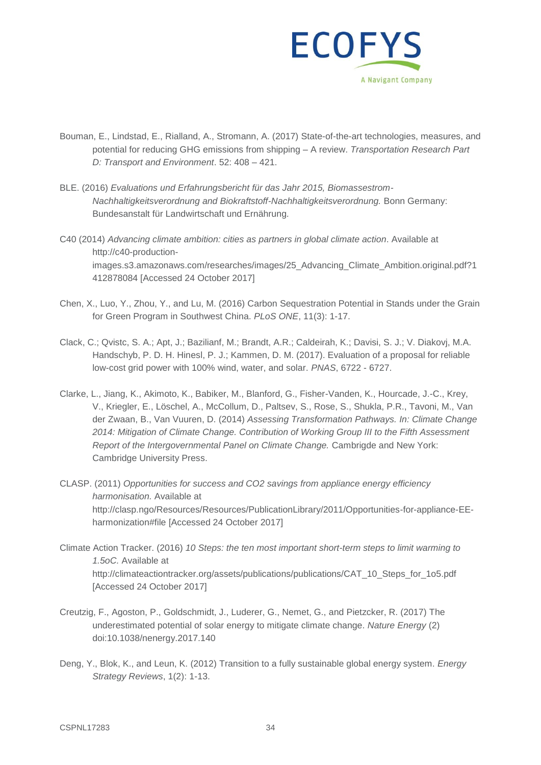

- Bouman, E., Lindstad, E., Rialland, A., Stromann, A. (2017) State-of-the-art technologies, measures, and potential for reducing GHG emissions from shipping – A review. *Transportation Research Part D: Transport and Environment*. 52: 408 – 421.
- BLE. (2016) *Evaluations und Erfahrungsbericht für das Jahr 2015, Biomassestrom-Nachhaltigkeitsverordnung and Biokraftstoff-Nachhaltigkeitsverordnung.* Bonn Germany: Bundesanstalt für Landwirtschaft und Ernährung*.*
- C40 (2014) *Advancing climate ambition: cities as partners in global climate action*. Available at http://c40-productionimages.s3.amazonaws.com/researches/images/25\_Advancing\_Climate\_Ambition.original.pdf?1 412878084 [Accessed 24 October 2017]
- Chen, X., Luo, Y., Zhou, Y., and Lu, M. (2016) Carbon Sequestration Potential in Stands under the Grain for Green Program in Southwest China. *PLoS ONE*, 11(3): 1-17.
- Clack, C.; Qvistc, S. A.; Apt, J.; Bazilianf, M.; Brandt, A.R.; Caldeirah, K.; Davisi, S. J.; V. Diakovj, M.A. Handschyb, P. D. H. Hinesl, P. J.; Kammen, D. M. (2017). Evaluation of a proposal for reliable low-cost grid power with 100% wind, water, and solar. *PNAS*, 6722 - 6727.
- Clarke, L., Jiang, K., Akimoto, K., Babiker, M., Blanford, G., Fisher-Vanden, K., Hourcade, J.-C., Krey, V., Kriegler, E., Löschel, A., McCollum, D., Paltsev, S., Rose, S., Shukla, P.R., Tavoni, M., Van der Zwaan, B., Van Vuuren, D. (2014) *Assessing Transformation Pathways. In: Climate Change 2014: Mitigation of Climate Change. Contribution of Working Group III to the Fifth Assessment Report of the Intergovernmental Panel on Climate Change.* Cambrigde and New York: Cambridge University Press.
- CLASP. (2011) *Opportunities for success and CO2 savings from appliance energy efficiency harmonisation.* Available at http://clasp.ngo/Resources/Resources/PublicationLibrary/2011/Opportunities-for-appliance-EEharmonization#file [Accessed 24 October 2017]
- Climate Action Tracker. (2016) *10 Steps: the ten most important short-term steps to limit warming to 1.5oC.* Available at http://climateactiontracker.org/assets/publications/publications/CAT\_10\_Steps\_for\_1o5.pdf [Accessed 24 October 2017]
- Creutzig, F., Agoston, P., Goldschmidt, J., Luderer, G., Nemet, G., and Pietzcker, R. (2017) The underestimated potential of solar energy to mitigate climate change. *Nature Energy* (2) doi:10.1038/nenergy.2017.140
- Deng, Y., Blok, K., and Leun, K. (2012) Transition to a fully sustainable global energy system. *Energy Strategy Reviews*, 1(2): 1-13.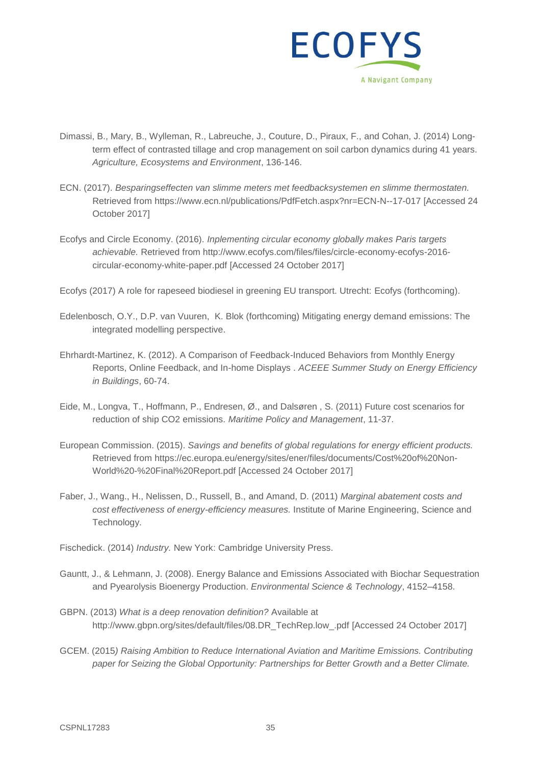

- Dimassi, B., Mary, B., Wylleman, R., Labreuche, J., Couture, D., Piraux, F., and Cohan, J. (2014) Longterm effect of contrasted tillage and crop management on soil carbon dynamics during 41 years. *Agriculture, Ecosystems and Environment*, 136-146.
- ECN. (2017). *Besparingseffecten van slimme meters met feedbacksystemen en slimme thermostaten.* Retrieved from https://www.ecn.nl/publications/PdfFetch.aspx?nr=ECN-N--17-017 [Accessed 24 October 2017]
- Ecofys and Circle Economy. (2016). *Inplementing circular economy globally makes Paris targets achievable.* Retrieved from http://www.ecofys.com/files/files/circle-economy-ecofys-2016 circular-economy-white-paper.pdf [Accessed 24 October 2017]
- Ecofys (2017) A role for rapeseed biodiesel in greening EU transport. Utrecht: Ecofys (forthcoming).
- Edelenbosch, O.Y., D.P. van Vuuren, K. Blok (forthcoming) Mitigating energy demand emissions: The integrated modelling perspective.
- Ehrhardt-Martinez, K. (2012). A Comparison of Feedback-Induced Behaviors from Monthly Energy Reports, Online Feedback, and In-home Displays . *ACEEE Summer Study on Energy Efficiency in Buildings*, 60-74.
- Eide, M., Longva, T., Hoffmann, P., Endresen, Ø., and Dalsøren , S. (2011) Future cost scenarios for reduction of ship CO2 emissions. *Maritime Policy and Management*, 11-37.
- European Commission. (2015). *Savings and benefits of global regulations for energy efficient products.* Retrieved from https://ec.europa.eu/energy/sites/ener/files/documents/Cost%20of%20Non-World%20-%20Final%20Report.pdf [Accessed 24 October 2017]
- Faber, J., Wang., H., Nelissen, D., Russell, B., and Amand, D. (2011) *Marginal abatement costs and cost effectiveness of energy-efficiency measures.* Institute of Marine Engineering, Science and Technology.
- Fischedick. (2014) *Industry.* New York: Cambridge University Press.
- Gauntt, J., & Lehmann, J. (2008). Energy Balance and Emissions Associated with Biochar Sequestration and Pyearolysis Bioenergy Production. *Environmental Science & Technology*, 4152–4158.
- GBPN. (2013) *What is a deep renovation definition?* Available at http://www.gbpn.org/sites/default/files/08.DR\_TechRep.low\_.pdf [Accessed 24 October 2017]
- GCEM. (2015*) Raising Ambition to Reduce International Aviation and Maritime Emissions. Contributing paper for Seizing the Global Opportunity: Partnerships for Better Growth and a Better Climate.*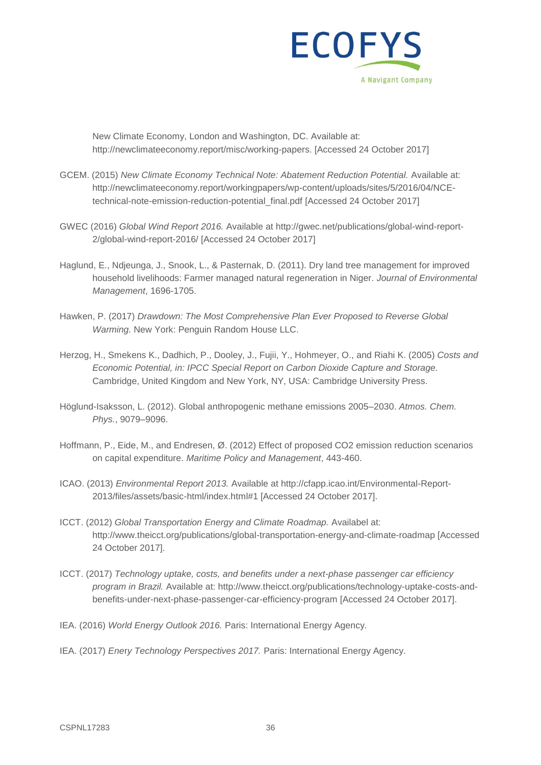

New Climate Economy, London and Washington, DC. Available at: http://newclimateeconomy.report/misc/working-papers. [Accessed 24 October 2017]

- GCEM. (2015) *New Climate Economy Technical Note: Abatement Reduction Potential.* Available at: http://newclimateeconomy.report/workingpapers/wp-content/uploads/sites/5/2016/04/NCEtechnical-note-emission-reduction-potential\_final.pdf [Accessed 24 October 2017]
- GWEC (2016) *Global Wind Report 2016.* Available at http://gwec.net/publications/global-wind-report-2/global-wind-report-2016/ [Accessed 24 October 2017]
- Haglund, E., Ndjeunga, J., Snook, L., & Pasternak, D. (2011). Dry land tree management for improved household livelihoods: Farmer managed natural regeneration in Niger. *Journal of Environmental Management*, 1696-1705.
- Hawken, P. (2017) *Drawdown: The Most Comprehensive Plan Ever Proposed to Reverse Global Warming.* New York: Penguin Random House LLC.
- Herzog, H., Smekens K., Dadhich, P., Dooley, J., Fujii, Y., Hohmeyer, O., and Riahi K. (2005) *Costs and Economic Potential, in: IPCC Special Report on Carbon Dioxide Capture and Storage.* Cambridge, United Kingdom and New York, NY, USA: Cambridge University Press.
- Höglund-Isaksson, L. (2012). Global anthropogenic methane emissions 2005–2030. *Atmos. Chem. Phys.*, 9079–9096.
- Hoffmann, P., Eide, M., and Endresen, Ø. (2012) Effect of proposed CO2 emission reduction scenarios on capital expenditure. *Maritime Policy and Management*, 443-460.
- ICAO. (2013) *Environmental Report 2013.* Available at http://cfapp.icao.int/Environmental-Report-2013/files/assets/basic-html/index.html#1 [Accessed 24 October 2017].
- ICCT. (2012) *Global Transportation Energy and Climate Roadmap.* Availabel at: http://www.theicct.org/publications/global-transportation-energy-and-climate-roadmap [Accessed 24 October 2017].
- ICCT. (2017) *Technology uptake, costs, and benefits under a next-phase passenger car efficiency program in Brazil.* Available at: http://www.theicct.org/publications/technology-uptake-costs-andbenefits-under-next-phase-passenger-car-efficiency-program [Accessed 24 October 2017].
- IEA. (2016) *World Energy Outlook 2016.* Paris: International Energy Agency.
- IEA. (2017) *Ene*r*y Technology Perspectives 2017.* Paris: International Energy Agency.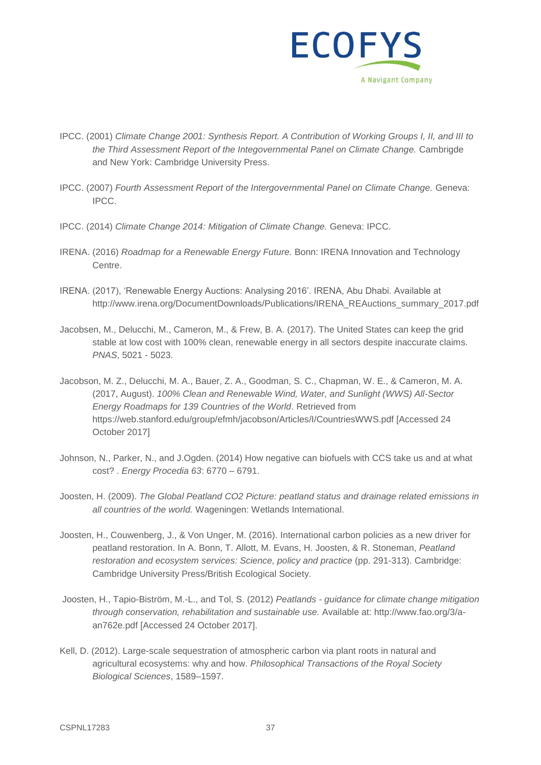

- IPCC. (2001) *Climate Change 2001: Synthesis Report. A Contribution of Working Groups I, II, and III to the Third Assessment Report of the Integovernmental Panel on Climate Change.* Cambrigde and New York: Cambridge University Press.
- IPCC. (2007) *Fourth Assessment Report of the Intergovernmental Panel on Climate Change.* Geneva: IPCC.
- IPCC. (2014) *Climate Change 2014: Mitigation of Climate Change.* Geneva: IPCC.
- IRENA. (2016) *Roadmap for a Renewable Energy Future.* Bonn: IRENA Innovation and Technology Centre.
- IRENA. (2017), 'Renewable Energy Auctions: Analysing 2016'. IRENA, Abu Dhabi. Available at http://www.irena.org/DocumentDownloads/Publications/IRENA\_REAuctions\_summary\_2017.pdf
- Jacobsen, M., Delucchi, M., Cameron, M., & Frew, B. A. (2017). The United States can keep the grid stable at low cost with 100% clean, renewable energy in all sectors despite inaccurate claims. *PNAS*, 5021 - 5023.
- Jacobson, M. Z., Delucchi, M. A., Bauer, Z. A., Goodman, S. C., Chapman, W. E., & Cameron, M. A. (2017, August). *100% Clean and Renewable Wind, Water, and Sunlight (WWS) All-Sector Energy Roadmaps for 139 Countries of the World*. Retrieved from https://web.stanford.edu/group/efmh/jacobson/Articles/I/CountriesWWS.pdf [Accessed 24 October 2017]
- Johnson, N., Parker, N., and J.Ogden. (2014) How negative can biofuels with CCS take us and at what cost? . *Energy Procedia 63*: 6770 – 6791.
- Joosten, H. (2009). *The Global Peatland CO2 Picture: peatland status and drainage related emissions in all countries of the world.* Wageningen: Wetlands International.
- Joosten, H., Couwenberg, J., & Von Unger, M. (2016). International carbon policies as a new driver for peatland restoration. In A. Bonn, T. Allott, M. Evans, H. Joosten, & R. Stoneman, *Peatland restoration and ecosystem services: Science, policy and practice* (pp. 291-313). Cambridge: Cambridge University Press/British Ecological Society.
- Joosten, H., Tapio-Biström, M.-L., and Tol, S. (2012) *Peatlands - guidance for climate change mitigation through conservation, rehabilitation and sustainable use.* Available at: http://www.fao.org/3/aan762e.pdf [Accessed 24 October 2017].
- Kell, D. (2012). Large-scale sequestration of atmospheric carbon via plant roots in natural and agricultural ecosystems: why and how. *Philosophical Transactions of the Royal Society Biological Sciences*, 1589–1597.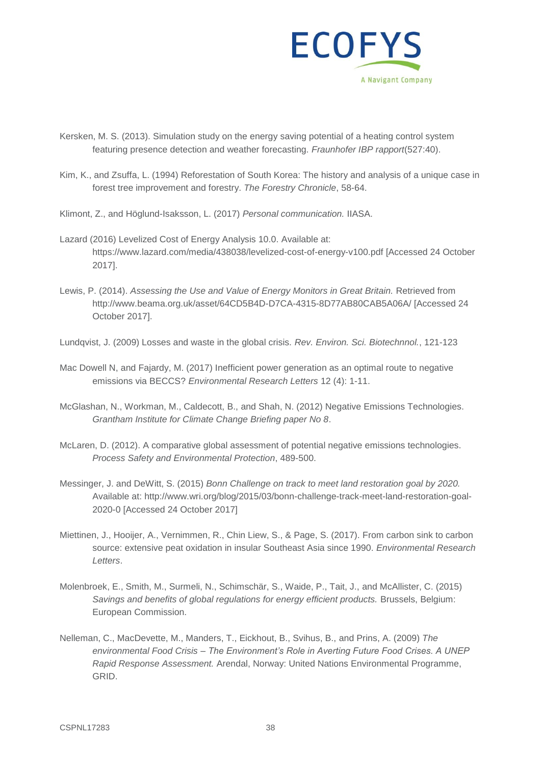

- Kersken, M. S. (2013). Simulation study on the energy saving potential of a heating control system featuring presence detection and weather forecasting. *Fraunhofer IBP rapport*(527:40).
- Kim, K., and Zsuffa, L. (1994) Reforestation of South Korea: The history and analysis of a unique case in forest tree improvement and forestry. *The Forestry Chronicle*, 58-64.
- Klimont, Z., and Höglund-Isaksson, L. (2017) *Personal communication.* IIASA.
- Lazard (2016) Levelized Cost of Energy Analysis 10.0. Available at: https://www.lazard.com/media/438038/levelized-cost-of-energy-v100.pdf [Accessed 24 October 2017].
- Lewis, P. (2014). *Assessing the Use and Value of Energy Monitors in Great Britain.* Retrieved from http://www.beama.org.uk/asset/64CD5B4D-D7CA-4315-8D77AB80CAB5A06A/ [Accessed 24 October 2017].
- Lundqvist, J. (2009) Losses and waste in the global crisis*. Rev. Environ. Sci. Biotechnnol.*, 121-123
- Mac Dowell N, and Fajardy, M. (2017) Inefficient power generation as an optimal route to negative emissions via BECCS? *Environmental Research Letters* 12 (4): 1-11.
- McGlashan, N., Workman, M., Caldecott, B., and Shah, N. (2012) Negative Emissions Technologies. *Grantham Institute for Climate Change Briefing paper No 8*.
- McLaren, D. (2012). A comparative global assessment of potential negative emissions technologies. *Process Safety and Environmental Protection*, 489-500.
- Messinger, J. and DeWitt, S. (2015) *Bonn Challenge on track to meet land restoration goal by 2020.* Available at: http://www.wri.org/blog/2015/03/bonn-challenge-track-meet-land-restoration-goal-2020-0 [Accessed 24 October 2017]
- Miettinen, J., Hooijer, A., Vernimmen, R., Chin Liew, S., & Page, S. (2017). From carbon sink to carbon source: extensive peat oxidation in insular Southeast Asia since 1990. *Environmental Research Letters*.
- Molenbroek, E., Smith, M., Surmeli, N., Schimschär, S., Waide, P., Tait, J., and McAllister, C. (2015) *Savings and benefits of global regulations for energy efficient products.* Brussels, Belgium: European Commission.
- Nelleman, C., MacDevette, M., Manders, T., Eickhout, B., Svihus, B., and Prins, A. (2009) *The environmental Food Crisis – The Environment's Role in Averting Future Food Crises. A UNEP Rapid Response Assessment.* Arendal, Norway: United Nations Environmental Programme, GRID.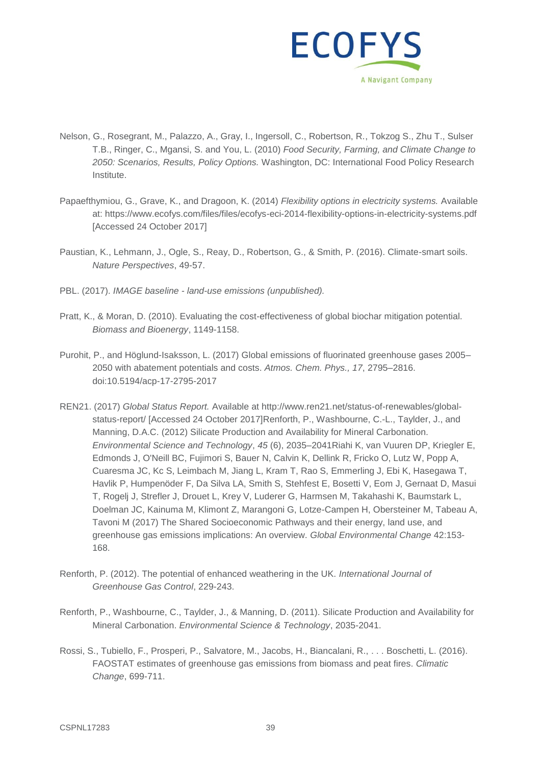

- Nelson, G., Rosegrant, M., Palazzo, A., Gray, I., Ingersoll, C., Robertson, R., Tokzog S., Zhu T., Sulser T.B., Ringer, C., Mgansi, S. and You, L. (2010) *Food Security, Farming, and Climate Change to 2050: Scenarios, Results, Policy Options.* Washington, DC: International Food Policy Research Institute.
- Papaefthymiou, G., Grave, K., and Dragoon, K. (2014) *Flexibility options in electricity systems.* Available at: https://www.ecofys.com/files/files/ecofys-eci-2014-flexibility-options-in-electricity-systems.pdf [Accessed 24 October 2017]
- Paustian, K., Lehmann, J., Ogle, S., Reay, D., Robertson, G., & Smith, P. (2016). Climate-smart soils. *Nature Perspectives*, 49-57.
- PBL. (2017). *IMAGE baseline - land-use emissions (unpublished).*
- Pratt, K., & Moran, D. (2010). Evaluating the cost-effectiveness of global biochar mitigation potential. *Biomass and Bioenergy*, 1149-1158.
- Purohit, P., and Höglund-Isaksson, L. (2017) Global emissions of fluorinated greenhouse gases 2005– 2050 with abatement potentials and costs. *Atmos. Chem. Phys., 17*, 2795–2816. doi:10.5194/acp-17-2795-2017
- REN21. (2017) *Global Status Report.* Available at http://www.ren21.net/status-of-renewables/globalstatus-report/ [Accessed 24 October 2017]Renforth, P., Washbourne, C.-L., Taylder, J., and Manning, D.A.C. (2012) Silicate Production and Availability for Mineral Carbonation. *Environmental Science and Technology*, *45* (6), 2035–2041Riahi K, van Vuuren DP, Kriegler E, Edmonds J, O'Neill BC, Fujimori S, Bauer N, Calvin K, Dellink R, Fricko O, Lutz W, Popp A, Cuaresma JC, Kc S, Leimbach M, Jiang L, Kram T, Rao S, Emmerling J, Ebi K, Hasegawa T, Havlik P, Humpenöder F, Da Silva LA, Smith S, Stehfest E, Bosetti V, Eom J, Gernaat D, Masui T, Rogelj J, Strefler J, Drouet L, Krey V, Luderer G, Harmsen M, Takahashi K, Baumstark L, Doelman JC, Kainuma M, Klimont Z, Marangoni G, Lotze-Campen H, Obersteiner M, Tabeau A, Tavoni M (2017) The Shared Socioeconomic Pathways and their energy, land use, and greenhouse gas emissions implications: An overview. *Global Environmental Change* 42:153- 168.
- Renforth, P. (2012). The potential of enhanced weathering in the UK. *International Journal of Greenhouse Gas Control*, 229-243.
- Renforth, P., Washbourne, C., Taylder, J., & Manning, D. (2011). Silicate Production and Availability for Mineral Carbonation. *Environmental Science & Technology*, 2035-2041.
- Rossi, S., Tubiello, F., Prosperi, P., Salvatore, M., Jacobs, H., Biancalani, R., . . . Boschetti, L. (2016). FAOSTAT estimates of greenhouse gas emissions from biomass and peat fires. *Climatic Change*, 699-711.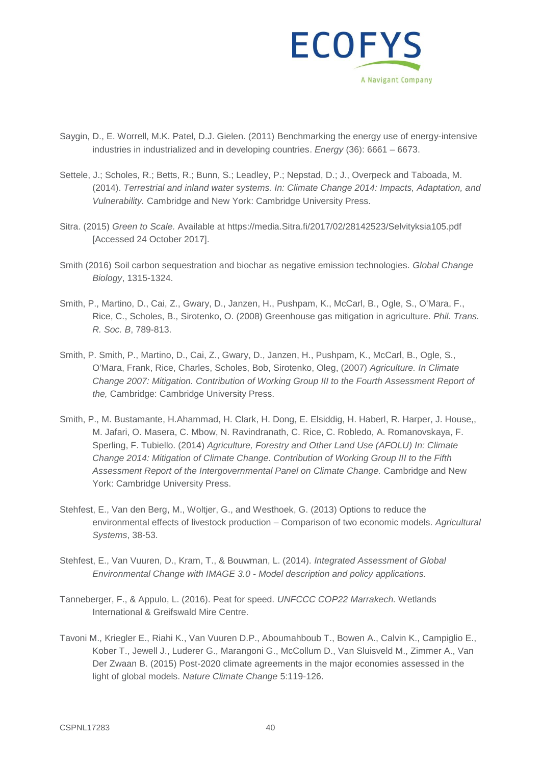

- Saygin, D., E. Worrell, M.K. Patel, D.J. Gielen. (2011) Benchmarking the energy use of energy-intensive industries in industrialized and in developing countries. *Energy* (36): 6661 – 6673.
- Settele, J.; Scholes, R.; Betts, R.; Bunn, S.; Leadley, P.; Nepstad, D.; J., Overpeck and Taboada, M. (2014). *Terrestrial and inland water systems. In: Climate Change 2014: Impacts, Adaptation, and Vulnerability.* Cambridge and New York: Cambridge University Press.
- Sitra. (2015) *Green to Scale.* Available at https://media.Sitra.fi/2017/02/28142523/Selvityksia105.pdf [Accessed 24 October 2017].
- Smith (2016) Soil carbon sequestration and biochar as negative emission technologies. *Global Change Biology*, 1315-1324.
- Smith, P., Martino, D., Cai, Z., Gwary, D., Janzen, H., Pushpam, K., McCarl, B., Ogle, S., O'Mara, F., Rice, C., Scholes, B., Sirotenko, O. (2008) Greenhouse gas mitigation in agriculture. *Phil. Trans. R. Soc. B*, 789-813.
- Smith, P. Smith, P., Martino, D., Cai, Z., Gwary, D., Janzen, H., Pushpam, K., McCarl, B., Ogle, S., O'Mara, Frank, Rice, Charles, Scholes, Bob, Sirotenko, Oleg, (2007) *Agriculture. In Climate Change 2007: Mitigation. Contribution of Working Group III to the Fourth Assessment Report of the,* Cambridge: Cambridge University Press.
- Smith, P., M. Bustamante, H.Ahammad, H. Clark, H. Dong, E. Elsiddig, H. Haberl, R. Harper, J. House,, M. Jafari, O. Masera, C. Mbow, N. Ravindranath, C. Rice, C. Robledo, A. Romanovskaya, F. Sperling, F. Tubiello. (2014) *Agriculture, Forestry and Other Land Use (AFOLU) In: Climate Change 2014: Mitigation of Climate Change. Contribution of Working Group III to the Fifth Assessment Report of the Intergovernmental Panel on Climate Change.* Cambridge and New York: Cambridge University Press.
- Stehfest, E., Van den Berg, M., Woltjer, G., and Westhoek, G. (2013) Options to reduce the environmental effects of livestock production – Comparison of two economic models. *Agricultural Systems*, 38-53.
- Stehfest, E., Van Vuuren, D., Kram, T., & Bouwman, L. (2014). *Integrated Assessment of Global Environmental Change with IMAGE 3.0 - Model description and policy applications.*
- Tanneberger, F., & Appulo, L. (2016). Peat for speed. *UNFCCC COP22 Marrakech.* Wetlands International & Greifswald Mire Centre.
- Tavoni M., Kriegler E., Riahi K., Van Vuuren D.P., Aboumahboub T., Bowen A., Calvin K., Campiglio E., Kober T., Jewell J., Luderer G., Marangoni G., McCollum D., Van Sluisveld M., Zimmer A., Van Der Zwaan B. (2015) Post-2020 climate agreements in the major economies assessed in the light of global models. *Nature Climate Change* 5:119-126.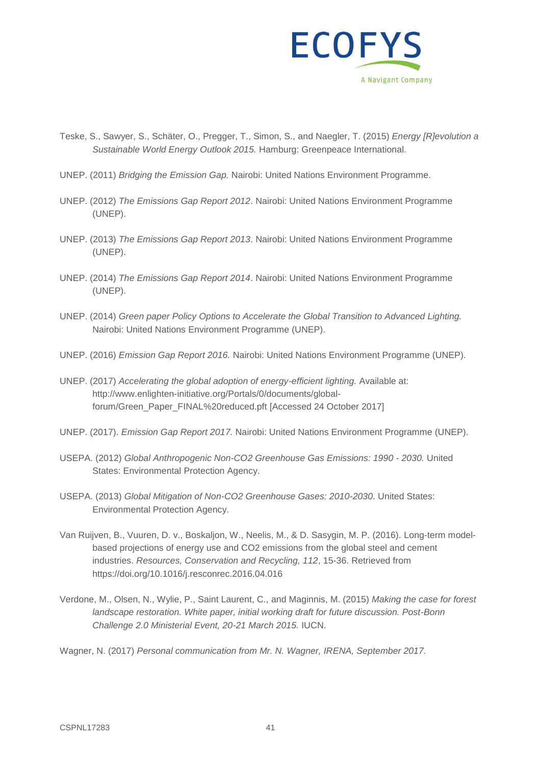

- Teske, S., Sawyer, S., Schäter, O., Pregger, T., Simon, S., and Naegler, T. (2015) *Energy [R]evolution a Sustainable World Energy Outlook 2015.* Hamburg: Greenpeace International.
- UNEP. (2011) *Bridging the Emission Gap.* Nairobi: United Nations Environment Programme.
- UNEP. (2012) *The Emissions Gap Report 2012*. Nairobi: United Nations Environment Programme (UNEP).
- UNEP. (2013) *The Emissions Gap Report 2013*. Nairobi: United Nations Environment Programme (UNEP).
- UNEP. (2014) *The Emissions Gap Report 2014*. Nairobi: United Nations Environment Programme (UNEP).
- UNEP. (2014) *Green paper Policy Options to Accelerate the Global Transition to Advanced Lighting.* Nairobi: United Nations Environment Programme (UNEP).
- UNEP. (2016) *Emission Gap Report 2016.* Nairobi: United Nations Environment Programme (UNEP).
- UNEP. (2017) *Accelerating the global adoption of energy-efficient lighting.* Available at: http://www.enlighten-initiative.org/Portals/0/documents/globalforum/Green\_Paper\_FINAL%20reduced.pft [Accessed 24 October 2017]
- UNEP. (2017). *Emission Gap Report 2017.* Nairobi: United Nations Environment Programme (UNEP).
- USEPA. (2012) *Global Anthropogenic Non-CO2 Greenhouse Gas Emissions: 1990 - 2030.* United States: Environmental Protection Agency.
- USEPA. (2013) *Global Mitigation of Non-CO2 Greenhouse Gases: 2010-2030.* United States: Environmental Protection Agency.
- Van Ruijven, B., Vuuren, D. v., Boskaljon, W., Neelis, M., & D. Sasygin, M. P. (2016). Long-term modelbased projections of energy use and CO2 emissions from the global steel and cement industries. *Resources, Conservation and Recycling, 112*, 15-36. Retrieved from https://doi.org/10.1016/j.resconrec.2016.04.016
- Verdone, M., Olsen, N., Wylie, P., Saint Laurent, C., and Maginnis, M. (2015) *Making the case for forest landscape restoration. White paper, initial working draft for future discussion. Post-Bonn Challenge 2.0 Ministerial Event, 20-21 March 2015.* IUCN.

Wagner, N. (2017) *Personal communication from Mr. N. Wagner, IRENA, September 2017.*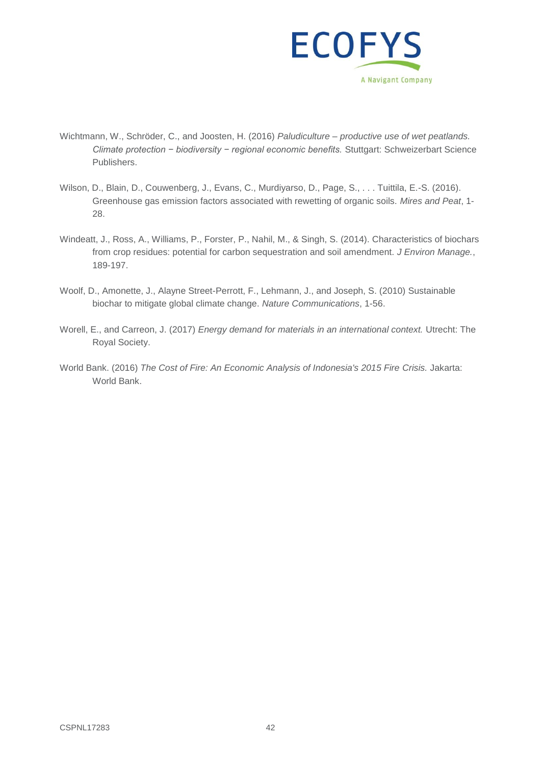

- Wichtmann, W., Schröder, C., and Joosten, H. (2016) *Paludiculture – productive use of wet peatlands. Climate protection − biodiversity − regional economic benefits.* Stuttgart: Schweizerbart Science Publishers.
- Wilson, D., Blain, D., Couwenberg, J., Evans, C., Murdiyarso, D., Page, S., . . . Tuittila, E.-S. (2016). Greenhouse gas emission factors associated with rewetting of organic soils. *Mires and Peat*, 1- 28.
- Windeatt, J., Ross, A., Williams, P., Forster, P., Nahil, M., & Singh, S. (2014). Characteristics of biochars from crop residues: potential for carbon sequestration and soil amendment. *J Environ Manage.*, 189-197.
- Woolf, D., Amonette, J., Alayne Street-Perrott, F., Lehmann, J., and Joseph, S. (2010) Sustainable biochar to mitigate global climate change. *Nature Communications*, 1-56.
- Worell, E., and Carreon, J. (2017) *Energy demand for materials in an international context.* Utrecht: The Royal Society.
- World Bank. (2016) *The Cost of Fire: An Economic Analysis of Indonesia's 2015 Fire Crisis.* Jakarta: World Bank.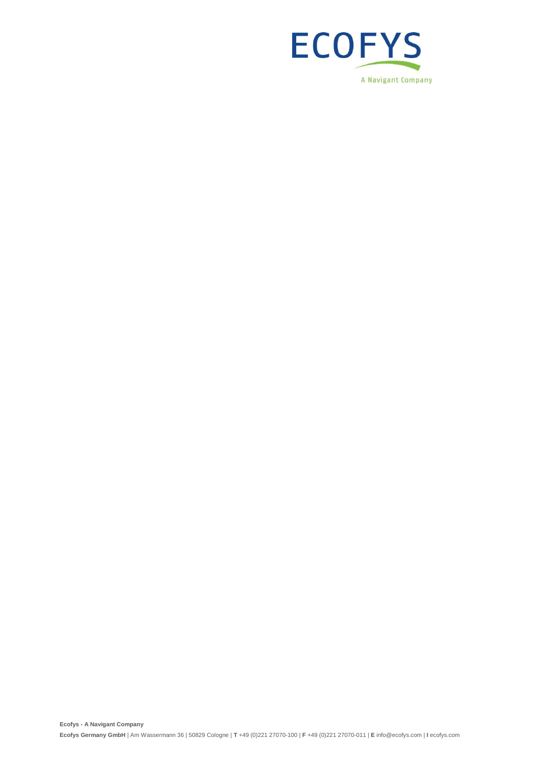